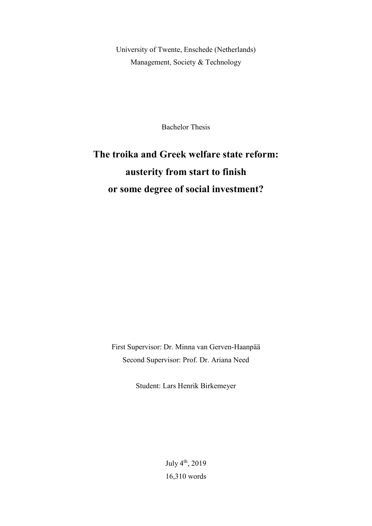University of Twente, Enschede (Netherlands) Management, Society & Technology

Bachelor Thesis

# **The troika and Greek welfare state reform: austerity from start to finish or some degree of social investment?**

First Supervisor: Dr. Minna van Gerven-Haanpää Second Supervisor: Prof. Dr. Ariana Need

Student: Lars Henrik Birkemeyer

July 4<sup>th</sup>, 2019 16,310 words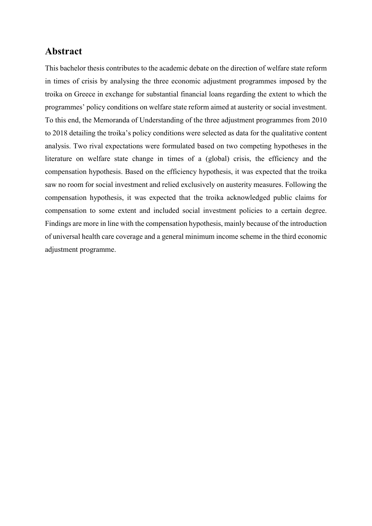### **Abstract**

This bachelor thesis contributes to the academic debate on the direction of welfare state reform in times of crisis by analysing the three economic adjustment programmes imposed by the troika on Greece in exchange for substantial financial loans regarding the extent to which the programmes' policy conditions on welfare state reform aimed at austerity or social investment. To this end, the Memoranda of Understanding of the three adjustment programmes from 2010 to 2018 detailing the troika's policy conditions were selected as data for the qualitative content analysis. Two rival expectations were formulated based on two competing hypotheses in the literature on welfare state change in times of a (global) crisis, the efficiency and the compensation hypothesis. Based on the efficiency hypothesis, it was expected that the troika saw no room for social investment and relied exclusively on austerity measures. Following the compensation hypothesis, it was expected that the troika acknowledged public claims for compensation to some extent and included social investment policies to a certain degree. Findings are more in line with the compensation hypothesis, mainly because of the introduction of universal health care coverage and a general minimum income scheme in the third economic adjustment programme.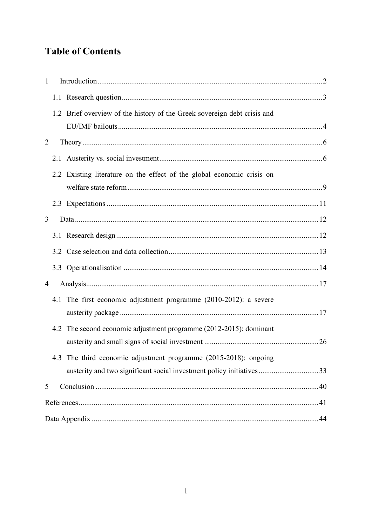## **Table of Contents**

| $\mathbf{1}$ |  |                                                                          |  |  |  |  |
|--------------|--|--------------------------------------------------------------------------|--|--|--|--|
|              |  |                                                                          |  |  |  |  |
|              |  | 1.2 Brief overview of the history of the Greek sovereign debt crisis and |  |  |  |  |
| 2            |  |                                                                          |  |  |  |  |
|              |  |                                                                          |  |  |  |  |
|              |  | 2.2 Existing literature on the effect of the global economic crisis on   |  |  |  |  |
|              |  |                                                                          |  |  |  |  |
| 3            |  |                                                                          |  |  |  |  |
|              |  |                                                                          |  |  |  |  |
|              |  |                                                                          |  |  |  |  |
|              |  |                                                                          |  |  |  |  |
| 4            |  |                                                                          |  |  |  |  |
|              |  | 4.1 The first economic adjustment programme (2010-2012): a severe        |  |  |  |  |
|              |  | 4.2 The second economic adjustment programme (2012-2015): dominant       |  |  |  |  |
|              |  | 4.3 The third economic adjustment programme (2015-2018): ongoing         |  |  |  |  |
| 5            |  |                                                                          |  |  |  |  |
|              |  |                                                                          |  |  |  |  |
|              |  |                                                                          |  |  |  |  |
|              |  |                                                                          |  |  |  |  |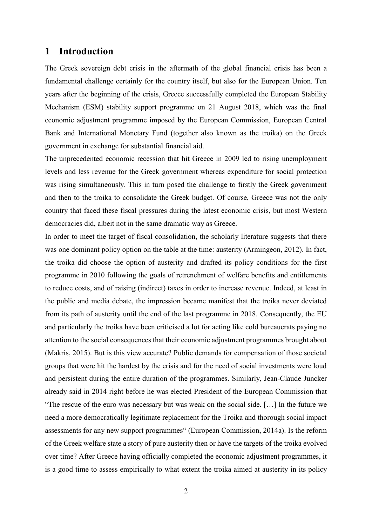### <span id="page-3-0"></span>**1 Introduction**

The Greek sovereign debt crisis in the aftermath of the global financial crisis has been a fundamental challenge certainly for the country itself, but also for the European Union. Ten years after the beginning of the crisis, Greece successfully completed the European Stability Mechanism (ESM) stability support programme on 21 August 2018, which was the final economic adjustment programme imposed by the European Commission, European Central Bank and International Monetary Fund (together also known as the troika) on the Greek government in exchange for substantial financial aid.

The unprecedented economic recession that hit Greece in 2009 led to rising unemployment levels and less revenue for the Greek government whereas expenditure for social protection was rising simultaneously. This in turn posed the challenge to firstly the Greek government and then to the troika to consolidate the Greek budget. Of course, Greece was not the only country that faced these fiscal pressures during the latest economic crisis, but most Western democracies did, albeit not in the same dramatic way as Greece.

In order to meet the target of fiscal consolidation, the scholarly literature suggests that there was one dominant policy option on the table at the time: austerity (Armingeon, 2012). In fact, the troika did choose the option of austerity and drafted its policy conditions for the first programme in 2010 following the goals of retrenchment of welfare benefits and entitlements to reduce costs, and of raising (indirect) taxes in order to increase revenue. Indeed, at least in the public and media debate, the impression became manifest that the troika never deviated from its path of austerity until the end of the last programme in 2018. Consequently, the EU and particularly the troika have been criticised a lot for acting like cold bureaucrats paying no attention to the social consequences that their economic adjustment programmes brought about (Makris, 2015). But is this view accurate? Public demands for compensation of those societal groups that were hit the hardest by the crisis and for the need of social investments were loud and persistent during the entire duration of the programmes. Similarly, Jean-Claude Juncker already said in 2014 right before he was elected President of the European Commission that "The rescue of the euro was necessary but was weak on the social side. […] In the future we need a more democratically legitimate replacement for the Troika and thorough social impact assessments for any new support programmes" (European Commission, 2014a). Is the reform of the Greek welfare state a story of pure austerity then or have the targets of the troika evolved over time? After Greece having officially completed the economic adjustment programmes, it is a good time to assess empirically to what extent the troika aimed at austerity in its policy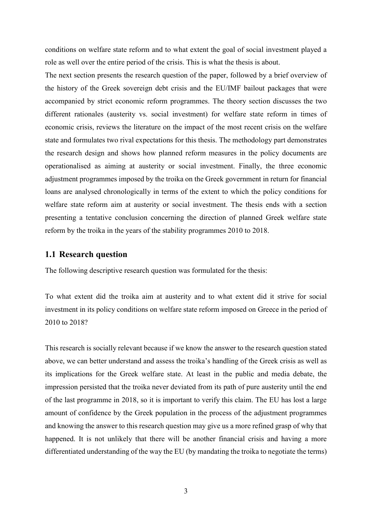conditions on welfare state reform and to what extent the goal of social investment played a role as well over the entire period of the crisis. This is what the thesis is about.

The next section presents the research question of the paper, followed by a brief overview of the history of the Greek sovereign debt crisis and the EU/IMF bailout packages that were accompanied by strict economic reform programmes. The theory section discusses the two different rationales (austerity vs. social investment) for welfare state reform in times of economic crisis, reviews the literature on the impact of the most recent crisis on the welfare state and formulates two rival expectations for this thesis. The methodology part demonstrates the research design and shows how planned reform measures in the policy documents are operationalised as aiming at austerity or social investment. Finally, the three economic adjustment programmes imposed by the troika on the Greek government in return for financial loans are analysed chronologically in terms of the extent to which the policy conditions for welfare state reform aim at austerity or social investment. The thesis ends with a section presenting a tentative conclusion concerning the direction of planned Greek welfare state reform by the troika in the years of the stability programmes 2010 to 2018.

#### <span id="page-4-0"></span>**1.1 Research question**

The following descriptive research question was formulated for the thesis:

To what extent did the troika aim at austerity and to what extent did it strive for social investment in its policy conditions on welfare state reform imposed on Greece in the period of 2010 to 2018?

This research is socially relevant because if we know the answer to the research question stated above, we can better understand and assess the troika's handling of the Greek crisis as well as its implications for the Greek welfare state. At least in the public and media debate, the impression persisted that the troika never deviated from its path of pure austerity until the end of the last programme in 2018, so it is important to verify this claim. The EU has lost a large amount of confidence by the Greek population in the process of the adjustment programmes and knowing the answer to this research question may give us a more refined grasp of why that happened. It is not unlikely that there will be another financial crisis and having a more differentiated understanding of the way the EU (by mandating the troika to negotiate the terms)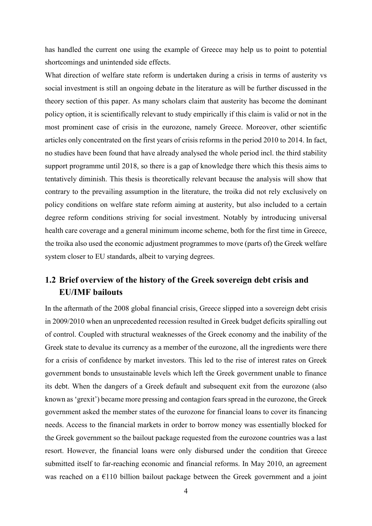has handled the current one using the example of Greece may help us to point to potential shortcomings and unintended side effects.

What direction of welfare state reform is undertaken during a crisis in terms of austerity vs social investment is still an ongoing debate in the literature as will be further discussed in the theory section of this paper. As many scholars claim that austerity has become the dominant policy option, it is scientifically relevant to study empirically if this claim is valid or not in the most prominent case of crisis in the eurozone, namely Greece. Moreover, other scientific articles only concentrated on the first years of crisis reforms in the period 2010 to 2014. In fact, no studies have been found that have already analysed the whole period incl. the third stability support programme until 2018, so there is a gap of knowledge there which this thesis aims to tentatively diminish. This thesis is theoretically relevant because the analysis will show that contrary to the prevailing assumption in the literature, the troika did not rely exclusively on policy conditions on welfare state reform aiming at austerity, but also included to a certain degree reform conditions striving for social investment. Notably by introducing universal health care coverage and a general minimum income scheme, both for the first time in Greece, the troika also used the economic adjustment programmes to move (parts of) the Greek welfare system closer to EU standards, albeit to varying degrees.

### <span id="page-5-0"></span>**1.2 Brief overview of the history of the Greek sovereign debt crisis and EU/IMF bailouts**

In the aftermath of the 2008 global financial crisis, Greece slipped into a sovereign debt crisis in 2009/2010 when an unprecedented recession resulted in Greek budget deficits spiralling out of control. Coupled with structural weaknesses of the Greek economy and the inability of the Greek state to devalue its currency as a member of the eurozone, all the ingredients were there for a crisis of confidence by market investors. This led to the rise of interest rates on Greek government bonds to unsustainable levels which left the Greek government unable to finance its debt. When the dangers of a Greek default and subsequent exit from the eurozone (also known as 'grexit') became more pressing and contagion fears spread in the eurozone, the Greek government asked the member states of the eurozone for financial loans to cover its financing needs. Access to the financial markets in order to borrow money was essentially blocked for the Greek government so the bailout package requested from the eurozone countries was a last resort. However, the financial loans were only disbursed under the condition that Greece submitted itself to far-reaching economic and financial reforms. In May 2010, an agreement was reached on a  $E110$  billion bailout package between the Greek government and a joint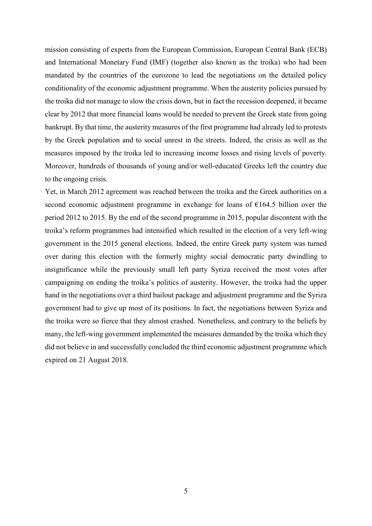mission consisting of experts from the European Commission, European Central Bank (ECB) and International Monetary Fund (IMF) (together also known as the troika) who had been mandated by the countries of the eurozone to lead the negotiations on the detailed policy conditionality of the economic adjustment programme. When the austerity policies pursued by the troika did not manage to slow the crisis down, but in fact the recession deepened, it became clear by 2012 that more financial loans would be needed to prevent the Greek state from going bankrupt. By that time, the austerity measures of the first programme had already led to protests by the Greek population and to social unrest in the streets. Indeed, the crisis as well as the measures imposed by the troika led to increasing income losses and rising levels of poverty. Moreover, hundreds of thousands of young and/or well-educated Greeks left the country due to the ongoing crisis.

Yet, in March 2012 agreement was reached between the troika and the Greek authorities on a second economic adjustment programme in exchange for loans of €164.5 billion over the period 2012 to 2015. By the end of the second programme in 2015, popular discontent with the troika's reform programmes had intensified which resulted in the election of a very left-wing government in the 2015 general elections. Indeed, the entire Greek party system was turned over during this election with the formerly mighty social democratic party dwindling to insignificance while the previously small left party Syriza received the most votes after campaigning on ending the troika's politics of austerity. However, the troika had the upper hand in the negotiations over a third bailout package and adjustment programme and the Syriza government had to give up most of its positions. In fact, the negotiations between Syriza and the troika were so fierce that they almost crashed. Nonetheless, and contrary to the beliefs by many, the left-wing government implemented the measures demanded by the troika which they did not believe in and successfully concluded the third economic adjustment programme which expired on 21 August 2018.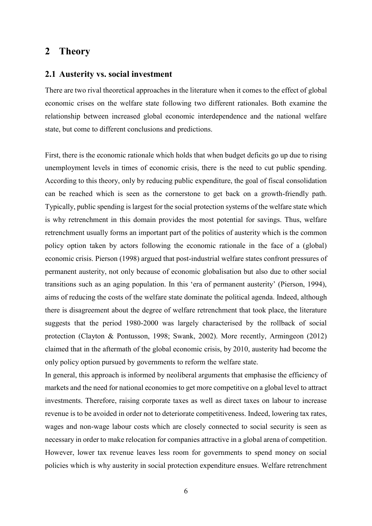### <span id="page-7-0"></span>**2 Theory**

#### <span id="page-7-1"></span>**2.1 Austerity vs. social investment**

There are two rival theoretical approaches in the literature when it comes to the effect of global economic crises on the welfare state following two different rationales. Both examine the relationship between increased global economic interdependence and the national welfare state, but come to different conclusions and predictions.

First, there is the economic rationale which holds that when budget deficits go up due to rising unemployment levels in times of economic crisis, there is the need to cut public spending. According to this theory, only by reducing public expenditure, the goal of fiscal consolidation can be reached which is seen as the cornerstone to get back on a growth-friendly path. Typically, public spending is largest for the social protection systems of the welfare state which is why retrenchment in this domain provides the most potential for savings. Thus, welfare retrenchment usually forms an important part of the politics of austerity which is the common policy option taken by actors following the economic rationale in the face of a (global) economic crisis. Pierson (1998) argued that post-industrial welfare states confront pressures of permanent austerity, not only because of economic globalisation but also due to other social transitions such as an aging population. In this 'era of permanent austerity' (Pierson, 1994), aims of reducing the costs of the welfare state dominate the political agenda. Indeed, although there is disagreement about the degree of welfare retrenchment that took place, the literature suggests that the period 1980-2000 was largely characterised by the rollback of social protection (Clayton & Pontusson, 1998; Swank, 2002). More recently, Armingeon (2012) claimed that in the aftermath of the global economic crisis, by 2010, austerity had become the only policy option pursued by governments to reform the welfare state.

In general, this approach is informed by neoliberal arguments that emphasise the efficiency of markets and the need for national economies to get more competitive on a global level to attract investments. Therefore, raising corporate taxes as well as direct taxes on labour to increase revenue is to be avoided in order not to deteriorate competitiveness. Indeed, lowering tax rates, wages and non-wage labour costs which are closely connected to social security is seen as necessary in order to make relocation for companies attractive in a global arena of competition. However, lower tax revenue leaves less room for governments to spend money on social policies which is why austerity in social protection expenditure ensues. Welfare retrenchment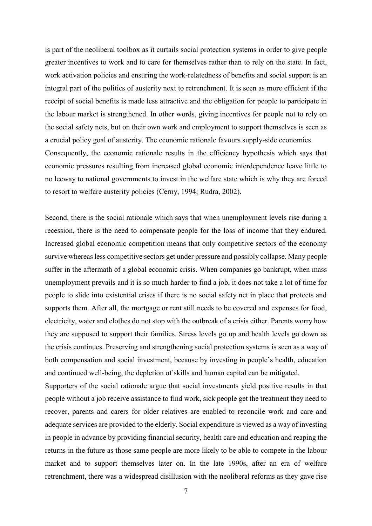is part of the neoliberal toolbox as it curtails social protection systems in order to give people greater incentives to work and to care for themselves rather than to rely on the state. In fact, work activation policies and ensuring the work-relatedness of benefits and social support is an integral part of the politics of austerity next to retrenchment. It is seen as more efficient if the receipt of social benefits is made less attractive and the obligation for people to participate in the labour market is strengthened. In other words, giving incentives for people not to rely on the social safety nets, but on their own work and employment to support themselves is seen as a crucial policy goal of austerity. The economic rationale favours supply-side economics. Consequently, the economic rationale results in the efficiency hypothesis which says that economic pressures resulting from increased global economic interdependence leave little to no leeway to national governments to invest in the welfare state which is why they are forced to resort to welfare austerity policies (Cerny, 1994; Rudra, 2002).

Second, there is the social rationale which says that when unemployment levels rise during a recession, there is the need to compensate people for the loss of income that they endured. Increased global economic competition means that only competitive sectors of the economy survive whereas less competitive sectors get under pressure and possibly collapse. Many people suffer in the aftermath of a global economic crisis. When companies go bankrupt, when mass unemployment prevails and it is so much harder to find a job, it does not take a lot of time for people to slide into existential crises if there is no social safety net in place that protects and supports them. After all, the mortgage or rent still needs to be covered and expenses for food, electricity, water and clothes do not stop with the outbreak of a crisis either. Parents worry how they are supposed to support their families. Stress levels go up and health levels go down as the crisis continues. Preserving and strengthening social protection systems is seen as a way of both compensation and social investment, because by investing in people's health, education and continued well-being, the depletion of skills and human capital can be mitigated.

Supporters of the social rationale argue that social investments yield positive results in that people without a job receive assistance to find work, sick people get the treatment they need to recover, parents and carers for older relatives are enabled to reconcile work and care and adequate services are provided to the elderly. Social expenditure is viewed as a way of investing in people in advance by providing financial security, health care and education and reaping the returns in the future as those same people are more likely to be able to compete in the labour market and to support themselves later on. In the late 1990s, after an era of welfare retrenchment, there was a widespread disillusion with the neoliberal reforms as they gave rise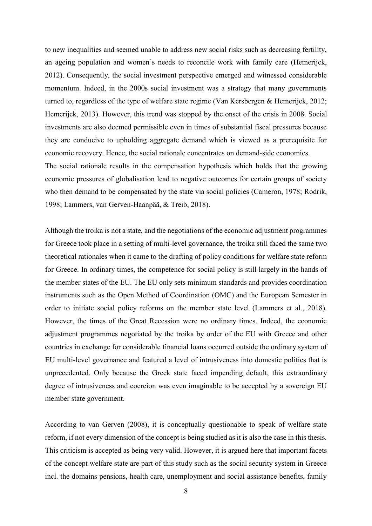to new inequalities and seemed unable to address new social risks such as decreasing fertility, an ageing population and women's needs to reconcile work with family care (Hemerijck, 2012). Consequently, the social investment perspective emerged and witnessed considerable momentum. Indeed, in the 2000s social investment was a strategy that many governments turned to, regardless of the type of welfare state regime (Van Kersbergen & Hemerijck, 2012; Hemerijck, 2013). However, this trend was stopped by the onset of the crisis in 2008. Social investments are also deemed permissible even in times of substantial fiscal pressures because they are conducive to upholding aggregate demand which is viewed as a prerequisite for economic recovery. Hence, the social rationale concentrates on demand-side economics.

The social rationale results in the compensation hypothesis which holds that the growing economic pressures of globalisation lead to negative outcomes for certain groups of society who then demand to be compensated by the state via social policies (Cameron, 1978; Rodrik, 1998; Lammers, van Gerven-Haanpää, & Treib, 2018).

Although the troika is not a state, and the negotiations of the economic adjustment programmes for Greece took place in a setting of multi-level governance, the troika still faced the same two theoretical rationales when it came to the drafting of policy conditions for welfare state reform for Greece. In ordinary times, the competence for social policy is still largely in the hands of the member states of the EU. The EU only sets minimum standards and provides coordination instruments such as the Open Method of Coordination (OMC) and the European Semester in order to initiate social policy reforms on the member state level (Lammers et al., 2018). However, the times of the Great Recession were no ordinary times. Indeed, the economic adjustment programmes negotiated by the troika by order of the EU with Greece and other countries in exchange for considerable financial loans occurred outside the ordinary system of EU multi-level governance and featured a level of intrusiveness into domestic politics that is unprecedented. Only because the Greek state faced impending default, this extraordinary degree of intrusiveness and coercion was even imaginable to be accepted by a sovereign EU member state government.

According to van Gerven (2008), it is conceptually questionable to speak of welfare state reform, if not every dimension of the concept is being studied as it is also the case in this thesis. This criticism is accepted as being very valid. However, it is argued here that important facets of the concept welfare state are part of this study such as the social security system in Greece incl. the domains pensions, health care, unemployment and social assistance benefits, family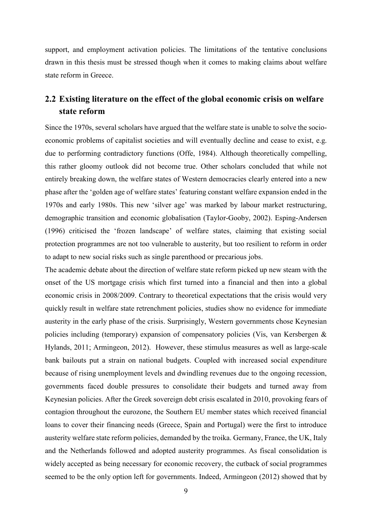support, and employment activation policies. The limitations of the tentative conclusions drawn in this thesis must be stressed though when it comes to making claims about welfare state reform in Greece.

### <span id="page-10-0"></span>**2.2 Existing literature on the effect of the global economic crisis on welfare state reform**

Since the 1970s, several scholars have argued that the welfare state is unable to solve the socioeconomic problems of capitalist societies and will eventually decline and cease to exist, e.g. due to performing contradictory functions (Offe, 1984). Although theoretically compelling, this rather gloomy outlook did not become true. Other scholars concluded that while not entirely breaking down, the welfare states of Western democracies clearly entered into a new phase after the 'golden age of welfare states' featuring constant welfare expansion ended in the 1970s and early 1980s. This new 'silver age' was marked by labour market restructuring, demographic transition and economic globalisation (Taylor-Gooby, 2002). Esping-Andersen (1996) criticised the 'frozen landscape' of welfare states, claiming that existing social protection programmes are not too vulnerable to austerity, but too resilient to reform in order to adapt to new social risks such as single parenthood or precarious jobs.

The academic debate about the direction of welfare state reform picked up new steam with the onset of the US mortgage crisis which first turned into a financial and then into a global economic crisis in 2008/2009. Contrary to theoretical expectations that the crisis would very quickly result in welfare state retrenchment policies, studies show no evidence for immediate austerity in the early phase of the crisis. Surprisingly, Western governments chose Keynesian policies including (temporary) expansion of compensatory policies (Vis, van Kersbergen & Hylands, 2011; Armingeon, 2012). However, these stimulus measures as well as large-scale bank bailouts put a strain on national budgets. Coupled with increased social expenditure because of rising unemployment levels and dwindling revenues due to the ongoing recession, governments faced double pressures to consolidate their budgets and turned away from Keynesian policies. After the Greek sovereign debt crisis escalated in 2010, provoking fears of contagion throughout the eurozone, the Southern EU member states which received financial loans to cover their financing needs (Greece, Spain and Portugal) were the first to introduce austerity welfare state reform policies, demanded by the troika. Germany, France, the UK, Italy and the Netherlands followed and adopted austerity programmes. As fiscal consolidation is widely accepted as being necessary for economic recovery, the cutback of social programmes seemed to be the only option left for governments. Indeed, Armingeon (2012) showed that by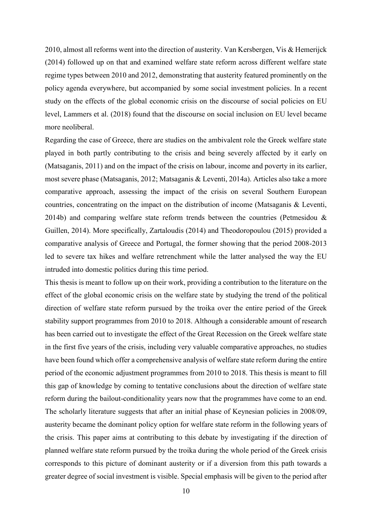2010, almost all reforms went into the direction of austerity. Van Kersbergen, Vis & Hemerijck (2014) followed up on that and examined welfare state reform across different welfare state regime types between 2010 and 2012, demonstrating that austerity featured prominently on the policy agenda everywhere, but accompanied by some social investment policies. In a recent study on the effects of the global economic crisis on the discourse of social policies on EU level, Lammers et al. (2018) found that the discourse on social inclusion on EU level became more neoliberal.

Regarding the case of Greece, there are studies on the ambivalent role the Greek welfare state played in both partly contributing to the crisis and being severely affected by it early on (Matsaganis, 2011) and on the impact of the crisis on labour, income and poverty in its earlier, most severe phase (Matsaganis, 2012; Matsaganis & Leventi, 2014a). Articles also take a more comparative approach, assessing the impact of the crisis on several Southern European countries, concentrating on the impact on the distribution of income (Matsaganis & Leventi, 2014b) and comparing welfare state reform trends between the countries (Petmesidou & Guillen, 2014). More specifically, Zartaloudis (2014) and Theodoropoulou (2015) provided a comparative analysis of Greece and Portugal, the former showing that the period 2008-2013 led to severe tax hikes and welfare retrenchment while the latter analysed the way the EU intruded into domestic politics during this time period.

This thesis is meant to follow up on their work, providing a contribution to the literature on the effect of the global economic crisis on the welfare state by studying the trend of the political direction of welfare state reform pursued by the troika over the entire period of the Greek stability support programmes from 2010 to 2018. Although a considerable amount of research has been carried out to investigate the effect of the Great Recession on the Greek welfare state in the first five years of the crisis, including very valuable comparative approaches, no studies have been found which offer a comprehensive analysis of welfare state reform during the entire period of the economic adjustment programmes from 2010 to 2018. This thesis is meant to fill this gap of knowledge by coming to tentative conclusions about the direction of welfare state reform during the bailout-conditionality years now that the programmes have come to an end. The scholarly literature suggests that after an initial phase of Keynesian policies in 2008/09, austerity became the dominant policy option for welfare state reform in the following years of the crisis. This paper aims at contributing to this debate by investigating if the direction of planned welfare state reform pursued by the troika during the whole period of the Greek crisis corresponds to this picture of dominant austerity or if a diversion from this path towards a greater degree of social investment is visible. Special emphasis will be given to the period after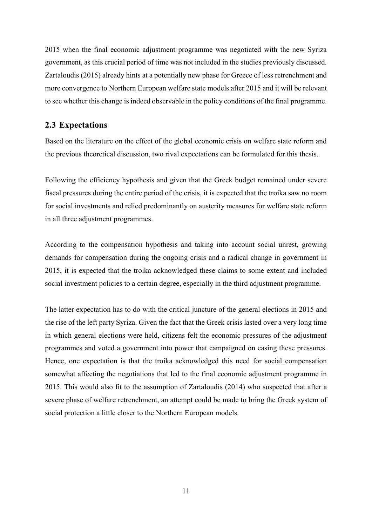2015 when the final economic adjustment programme was negotiated with the new Syriza government, as this crucial period of time was not included in the studies previously discussed. Zartaloudis (2015) already hints at a potentially new phase for Greece of less retrenchment and more convergence to Northern European welfare state models after 2015 and it will be relevant to see whether this change is indeed observable in the policy conditions of the final programme.

#### <span id="page-12-0"></span>**2.3 Expectations**

Based on the literature on the effect of the global economic crisis on welfare state reform and the previous theoretical discussion, two rival expectations can be formulated for this thesis.

Following the efficiency hypothesis and given that the Greek budget remained under severe fiscal pressures during the entire period of the crisis, it is expected that the troika saw no room for social investments and relied predominantly on austerity measures for welfare state reform in all three adjustment programmes.

According to the compensation hypothesis and taking into account social unrest, growing demands for compensation during the ongoing crisis and a radical change in government in 2015, it is expected that the troika acknowledged these claims to some extent and included social investment policies to a certain degree, especially in the third adjustment programme.

The latter expectation has to do with the critical juncture of the general elections in 2015 and the rise of the left party Syriza. Given the fact that the Greek crisis lasted over a very long time in which general elections were held, citizens felt the economic pressures of the adjustment programmes and voted a government into power that campaigned on easing these pressures. Hence, one expectation is that the troika acknowledged this need for social compensation somewhat affecting the negotiations that led to the final economic adjustment programme in 2015. This would also fit to the assumption of Zartaloudis (2014) who suspected that after a severe phase of welfare retrenchment, an attempt could be made to bring the Greek system of social protection a little closer to the Northern European models.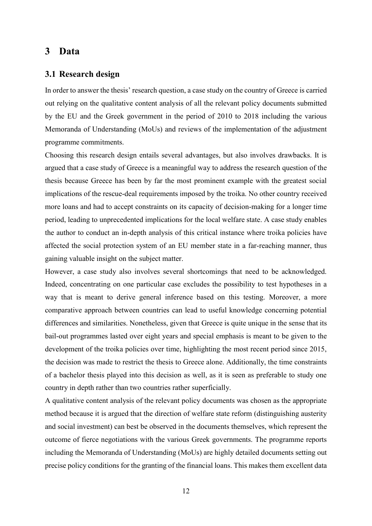### <span id="page-13-0"></span>**3 Data**

#### <span id="page-13-1"></span>**3.1 Research design**

In order to answer the thesis' research question, a case study on the country of Greece is carried out relying on the qualitative content analysis of all the relevant policy documents submitted by the EU and the Greek government in the period of 2010 to 2018 including the various Memoranda of Understanding (MoUs) and reviews of the implementation of the adjustment programme commitments.

Choosing this research design entails several advantages, but also involves drawbacks. It is argued that a case study of Greece is a meaningful way to address the research question of the thesis because Greece has been by far the most prominent example with the greatest social implications of the rescue-deal requirements imposed by the troika. No other country received more loans and had to accept constraints on its capacity of decision-making for a longer time period, leading to unprecedented implications for the local welfare state. A case study enables the author to conduct an in-depth analysis of this critical instance where troika policies have affected the social protection system of an EU member state in a far-reaching manner, thus gaining valuable insight on the subject matter.

However, a case study also involves several shortcomings that need to be acknowledged. Indeed, concentrating on one particular case excludes the possibility to test hypotheses in a way that is meant to derive general inference based on this testing. Moreover, a more comparative approach between countries can lead to useful knowledge concerning potential differences and similarities. Nonetheless, given that Greece is quite unique in the sense that its bail-out programmes lasted over eight years and special emphasis is meant to be given to the development of the troika policies over time, highlighting the most recent period since 2015, the decision was made to restrict the thesis to Greece alone. Additionally, the time constraints of a bachelor thesis played into this decision as well, as it is seen as preferable to study one country in depth rather than two countries rather superficially.

A qualitative content analysis of the relevant policy documents was chosen as the appropriate method because it is argued that the direction of welfare state reform (distinguishing austerity and social investment) can best be observed in the documents themselves, which represent the outcome of fierce negotiations with the various Greek governments. The programme reports including the Memoranda of Understanding (MoUs) are highly detailed documents setting out precise policy conditions for the granting of the financial loans. This makes them excellent data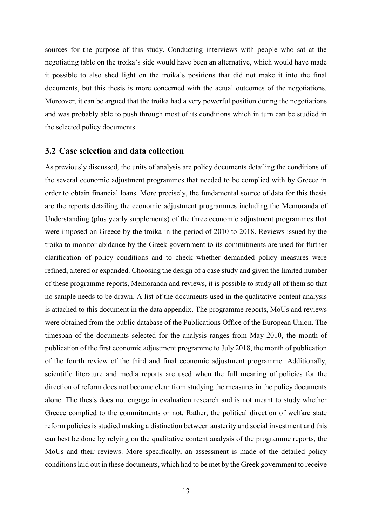sources for the purpose of this study. Conducting interviews with people who sat at the negotiating table on the troika's side would have been an alternative, which would have made it possible to also shed light on the troika's positions that did not make it into the final documents, but this thesis is more concerned with the actual outcomes of the negotiations. Moreover, it can be argued that the troika had a very powerful position during the negotiations and was probably able to push through most of its conditions which in turn can be studied in the selected policy documents.

#### <span id="page-14-0"></span>**3.2 Case selection and data collection**

As previously discussed, the units of analysis are policy documents detailing the conditions of the several economic adjustment programmes that needed to be complied with by Greece in order to obtain financial loans. More precisely, the fundamental source of data for this thesis are the reports detailing the economic adjustment programmes including the Memoranda of Understanding (plus yearly supplements) of the three economic adjustment programmes that were imposed on Greece by the troika in the period of 2010 to 2018. Reviews issued by the troika to monitor abidance by the Greek government to its commitments are used for further clarification of policy conditions and to check whether demanded policy measures were refined, altered or expanded. Choosing the design of a case study and given the limited number of these programme reports, Memoranda and reviews, it is possible to study all of them so that no sample needs to be drawn. A list of the documents used in the qualitative content analysis is attached to this document in the data appendix. The programme reports, MoUs and reviews were obtained from the public database of the Publications Office of the European Union. The timespan of the documents selected for the analysis ranges from May 2010, the month of publication of the first economic adjustment programme to July 2018, the month of publication of the fourth review of the third and final economic adjustment programme. Additionally, scientific literature and media reports are used when the full meaning of policies for the direction of reform does not become clear from studying the measures in the policy documents alone. The thesis does not engage in evaluation research and is not meant to study whether Greece complied to the commitments or not. Rather, the political direction of welfare state reform policies is studied making a distinction between austerity and social investment and this can best be done by relying on the qualitative content analysis of the programme reports, the MoUs and their reviews. More specifically, an assessment is made of the detailed policy conditions laid out in these documents, which had to be met by the Greek government to receive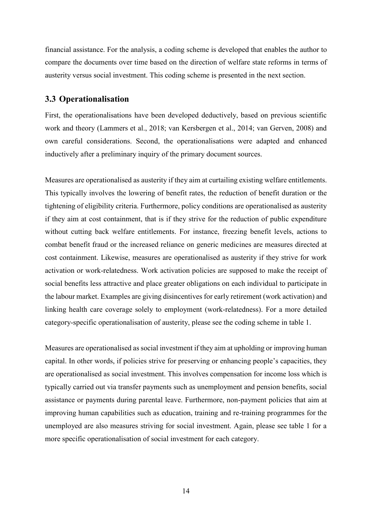financial assistance. For the analysis, a coding scheme is developed that enables the author to compare the documents over time based on the direction of welfare state reforms in terms of austerity versus social investment. This coding scheme is presented in the next section.

#### <span id="page-15-0"></span>**3.3 Operationalisation**

First, the operationalisations have been developed deductively, based on previous scientific work and theory (Lammers et al., 2018; van Kersbergen et al., 2014; van Gerven, 2008) and own careful considerations. Second, the operationalisations were adapted and enhanced inductively after a preliminary inquiry of the primary document sources.

Measures are operationalised as austerity if they aim at curtailing existing welfare entitlements. This typically involves the lowering of benefit rates, the reduction of benefit duration or the tightening of eligibility criteria. Furthermore, policy conditions are operationalised as austerity if they aim at cost containment, that is if they strive for the reduction of public expenditure without cutting back welfare entitlements. For instance, freezing benefit levels, actions to combat benefit fraud or the increased reliance on generic medicines are measures directed at cost containment. Likewise, measures are operationalised as austerity if they strive for work activation or work-relatedness. Work activation policies are supposed to make the receipt of social benefits less attractive and place greater obligations on each individual to participate in the labour market. Examples are giving disincentives for early retirement (work activation) and linking health care coverage solely to employment (work-relatedness). For a more detailed category-specific operationalisation of austerity, please see the coding scheme in table 1.

Measures are operationalised as social investment if they aim at upholding or improving human capital. In other words, if policies strive for preserving or enhancing people's capacities, they are operationalised as social investment. This involves compensation for income loss which is typically carried out via transfer payments such as unemployment and pension benefits, social assistance or payments during parental leave. Furthermore, non-payment policies that aim at improving human capabilities such as education, training and re-training programmes for the unemployed are also measures striving for social investment. Again, please see table 1 for a more specific operationalisation of social investment for each category.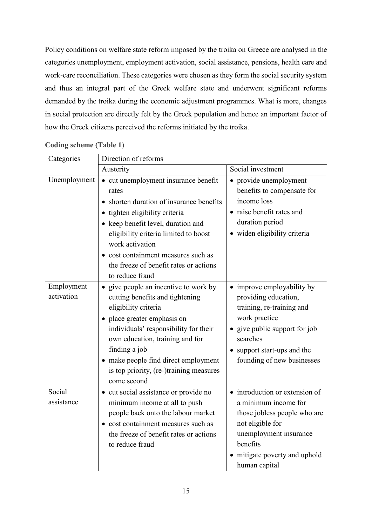Policy conditions on welfare state reform imposed by the troika on Greece are analysed in the categories unemployment, employment activation, social assistance, pensions, health care and work-care reconciliation. These categories were chosen as they form the social security system and thus an integral part of the Greek welfare state and underwent significant reforms demanded by the troika during the economic adjustment programmes. What is more, changes in social protection are directly felt by the Greek population and hence an important factor of how the Greek citizens perceived the reforms initiated by the troika.

 $\overline{1}$ 

| Categories               | Direction of reforms                                                                                                                                                                                                                                                                                                            |                                                                                                                                                                                                            |  |  |
|--------------------------|---------------------------------------------------------------------------------------------------------------------------------------------------------------------------------------------------------------------------------------------------------------------------------------------------------------------------------|------------------------------------------------------------------------------------------------------------------------------------------------------------------------------------------------------------|--|--|
|                          | Austerity                                                                                                                                                                                                                                                                                                                       | Social investment                                                                                                                                                                                          |  |  |
| Unemployment             | • cut unemployment insurance benefit<br>rates<br>shorten duration of insurance benefits<br>· tighten eligibility criteria<br>• keep benefit level, duration and<br>eligibility criteria limited to boost<br>work activation<br>• cost containment measures such as<br>the freeze of benefit rates or actions<br>to reduce fraud | • provide unemployment<br>benefits to compensate for<br>income loss<br>• raise benefit rates and<br>duration period<br>· widen eligibility criteria                                                        |  |  |
| Employment<br>activation | • give people an incentive to work by<br>cutting benefits and tightening<br>eligibility criteria<br>· place greater emphasis on<br>individuals' responsibility for their<br>own education, training and for<br>finding a job<br>• make people find direct employment<br>is top priority, (re-)training measures<br>come second  | • improve employability by<br>providing education,<br>training, re-training and<br>work practice<br>• give public support for job<br>searches<br>• support start-ups and the<br>founding of new businesses |  |  |
| Social<br>assistance     | • cut social assistance or provide no<br>minimum income at all to push<br>people back onto the labour market<br>• cost containment measures such as<br>the freeze of benefit rates or actions<br>to reduce fraud                                                                                                                | • introduction or extension of<br>a minimum income for<br>those jobless people who are<br>not eligible for<br>unemployment insurance<br>benefits<br>mitigate poverty and uphold<br>human capital           |  |  |

**Coding scheme (Table 1)**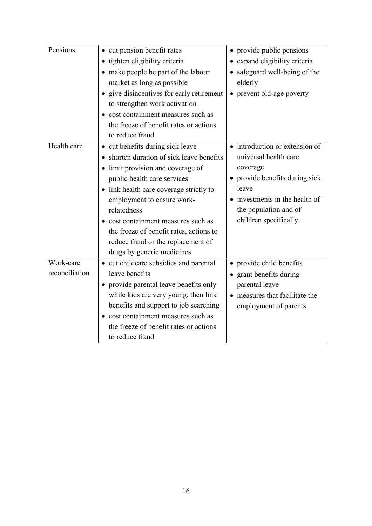| Pensions       | • cut pension benefit rates                          | • provide public pensions      |
|----------------|------------------------------------------------------|--------------------------------|
|                | • tighten eligibility criteria                       | expand eligibility criteria    |
|                | • make people be part of the labour                  | safeguard well-being of the    |
|                | market as long as possible                           | elderly                        |
|                | • give disincentives for early retirement            | • prevent old-age poverty      |
|                | to strengthen work activation                        |                                |
|                | • cost containment measures such as                  |                                |
|                | the freeze of benefit rates or actions               |                                |
|                | to reduce fraud                                      |                                |
| Health care    | • cut benefits during sick leave                     | • introduction or extension of |
|                | shorten duration of sick leave benefits<br>$\bullet$ | universal health care          |
|                | limit provision and coverage of                      | coverage                       |
|                | public health care services                          | • provide benefits during sick |
|                | • link health care coverage strictly to              | leave                          |
|                | employment to ensure work-                           | investments in the health of   |
|                | relatedness                                          | the population and of          |
|                | • cost containment measures such as                  | children specifically          |
|                | the freeze of benefit rates, actions to              |                                |
|                | reduce fraud or the replacement of                   |                                |
|                | drugs by generic medicines                           |                                |
| Work-care      | • cut childcare subsidies and parental               | • provide child benefits       |
| reconciliation | leave benefits                                       | • grant benefits during        |
|                | • provide parental leave benefits only               | parental leave                 |
|                | while kids are very young, then link                 | measures that facilitate the   |
|                | benefits and support to job searching                | employment of parents          |
|                | cost containment measures such as                    |                                |
|                | the freeze of benefit rates or actions               |                                |
|                | to reduce fraud                                      |                                |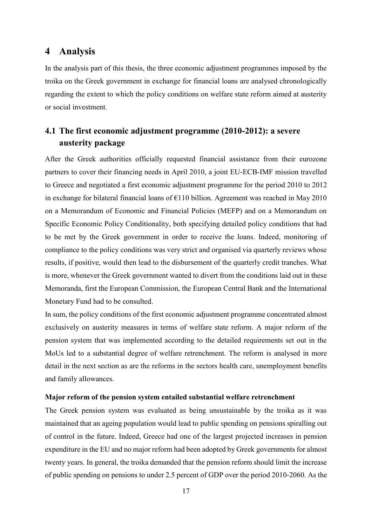### <span id="page-18-0"></span>**4 Analysis**

In the analysis part of this thesis, the three economic adjustment programmes imposed by the troika on the Greek government in exchange for financial loans are analysed chronologically regarding the extent to which the policy conditions on welfare state reform aimed at austerity or social investment.

### <span id="page-18-1"></span>**4.1 The first economic adjustment programme (2010-2012): a severe austerity package**

After the Greek authorities officially requested financial assistance from their eurozone partners to cover their financing needs in April 2010, a joint EU-ECB-IMF mission travelled to Greece and negotiated a first economic adjustment programme for the period 2010 to 2012 in exchange for bilateral financial loans of  $E110$  billion. Agreement was reached in May 2010 on a Memorandum of Economic and Financial Policies (MEFP) and on a Memorandum on Specific Economic Policy Conditionality, both specifying detailed policy conditions that had to be met by the Greek government in order to receive the loans. Indeed, monitoring of compliance to the policy conditions was very strict and organised via quarterly reviews whose results, if positive, would then lead to the disbursement of the quarterly credit tranches. What is more, whenever the Greek government wanted to divert from the conditions laid out in these Memoranda, first the European Commission, the European Central Bank and the International Monetary Fund had to be consulted.

In sum, the policy conditions of the first economic adjustment programme concentrated almost exclusively on austerity measures in terms of welfare state reform. A major reform of the pension system that was implemented according to the detailed requirements set out in the MoUs led to a substantial degree of welfare retrenchment. The reform is analysed in more detail in the next section as are the reforms in the sectors health care, unemployment benefits and family allowances.

#### **Major reform of the pension system entailed substantial welfare retrenchment**

The Greek pension system was evaluated as being unsustainable by the troika as it was maintained that an ageing population would lead to public spending on pensions spiralling out of control in the future. Indeed, Greece had one of the largest projected increases in pension expenditure in the EU and no major reform had been adopted by Greek governments for almost twenty years. In general, the troika demanded that the pension reform should limit the increase of public spending on pensions to under 2.5 percent of GDP over the period 2010-2060. As the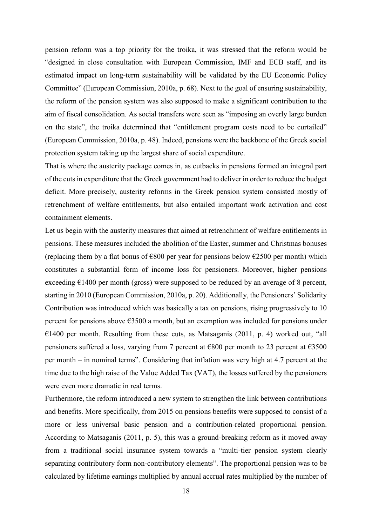pension reform was a top priority for the troika, it was stressed that the reform would be "designed in close consultation with European Commission, IMF and ECB staff, and its estimated impact on long-term sustainability will be validated by the EU Economic Policy Committee" (European Commission, 2010a, p. 68). Next to the goal of ensuring sustainability, the reform of the pension system was also supposed to make a significant contribution to the aim of fiscal consolidation. As social transfers were seen as "imposing an overly large burden on the state", the troika determined that "entitlement program costs need to be curtailed" (European Commission, 2010a, p. 48). Indeed, pensions were the backbone of the Greek social protection system taking up the largest share of social expenditure.

That is where the austerity package comes in, as cutbacks in pensions formed an integral part of the cuts in expenditure that the Greek government had to deliver in order to reduce the budget deficit. More precisely, austerity reforms in the Greek pension system consisted mostly of retrenchment of welfare entitlements, but also entailed important work activation and cost containment elements.

Let us begin with the austerity measures that aimed at retrenchment of welfare entitlements in pensions. These measures included the abolition of the Easter, summer and Christmas bonuses (replacing them by a flat bonus of  $\epsilon$ 800 per year for pensions below  $\epsilon$ 2500 per month) which constitutes a substantial form of income loss for pensioners. Moreover, higher pensions exceeding  $E1400$  per month (gross) were supposed to be reduced by an average of 8 percent, starting in 2010 (European Commission, 2010a, p. 20). Additionally, the Pensioners' Solidarity Contribution was introduced which was basically a tax on pensions, rising progressively to 10 percent for pensions above €3500 a month, but an exemption was included for pensions under  $€1400$  per month. Resulting from these cuts, as Matsaganis (2011, p. 4) worked out, "all pensioners suffered a loss, varying from 7 percent at  $\epsilon$ 800 per month to 23 percent at  $\epsilon$ 3500 per month – in nominal terms". Considering that inflation was very high at 4.7 percent at the time due to the high raise of the Value Added Tax (VAT), the losses suffered by the pensioners were even more dramatic in real terms.

Furthermore, the reform introduced a new system to strengthen the link between contributions and benefits. More specifically, from 2015 on pensions benefits were supposed to consist of a more or less universal basic pension and a contribution-related proportional pension. According to Matsaganis (2011, p. 5), this was a ground-breaking reform as it moved away from a traditional social insurance system towards a "multi-tier pension system clearly separating contributory form non-contributory elements". The proportional pension was to be calculated by lifetime earnings multiplied by annual accrual rates multiplied by the number of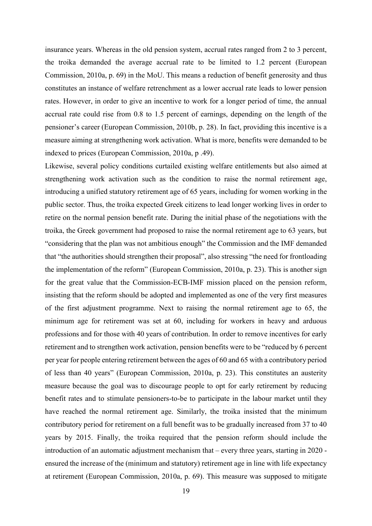insurance years. Whereas in the old pension system, accrual rates ranged from 2 to 3 percent, the troika demanded the average accrual rate to be limited to 1.2 percent (European Commission, 2010a, p. 69) in the MoU. This means a reduction of benefit generosity and thus constitutes an instance of welfare retrenchment as a lower accrual rate leads to lower pension rates. However, in order to give an incentive to work for a longer period of time, the annual accrual rate could rise from 0.8 to 1.5 percent of earnings, depending on the length of the pensioner's career (European Commission, 2010b, p. 28). In fact, providing this incentive is a measure aiming at strengthening work activation. What is more, benefits were demanded to be indexed to prices (European Commission, 2010a, p .49).

Likewise, several policy conditions curtailed existing welfare entitlements but also aimed at strengthening work activation such as the condition to raise the normal retirement age, introducing a unified statutory retirement age of 65 years, including for women working in the public sector. Thus, the troika expected Greek citizens to lead longer working lives in order to retire on the normal pension benefit rate. During the initial phase of the negotiations with the troika, the Greek government had proposed to raise the normal retirement age to 63 years, but "considering that the plan was not ambitious enough" the Commission and the IMF demanded that "the authorities should strengthen their proposal", also stressing "the need for frontloading the implementation of the reform" (European Commission, 2010a, p. 23). This is another sign for the great value that the Commission-ECB-IMF mission placed on the pension reform, insisting that the reform should be adopted and implemented as one of the very first measures of the first adjustment programme. Next to raising the normal retirement age to 65, the minimum age for retirement was set at 60, including for workers in heavy and arduous professions and for those with 40 years of contribution. In order to remove incentives for early retirement and to strengthen work activation, pension benefits were to be "reduced by 6 percent per year for people entering retirement between the ages of 60 and 65 with a contributory period of less than 40 years" (European Commission, 2010a, p. 23). This constitutes an austerity measure because the goal was to discourage people to opt for early retirement by reducing benefit rates and to stimulate pensioners-to-be to participate in the labour market until they have reached the normal retirement age. Similarly, the troika insisted that the minimum contributory period for retirement on a full benefit was to be gradually increased from 37 to 40 years by 2015. Finally, the troika required that the pension reform should include the introduction of an automatic adjustment mechanism that – every three years, starting in 2020 ensured the increase of the (minimum and statutory) retirement age in line with life expectancy at retirement (European Commission, 2010a, p. 69). This measure was supposed to mitigate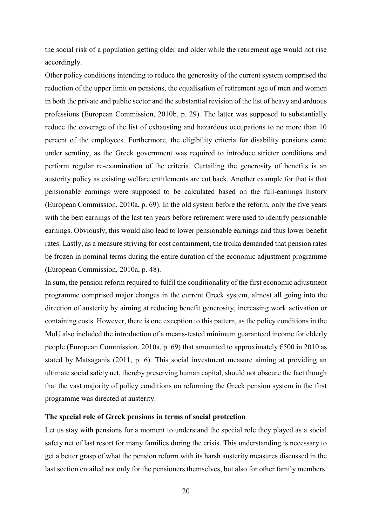the social risk of a population getting older and older while the retirement age would not rise accordingly.

Other policy conditions intending to reduce the generosity of the current system comprised the reduction of the upper limit on pensions, the equalisation of retirement age of men and women in both the private and public sector and the substantial revision of the list of heavy and arduous professions (European Commission, 2010b, p. 29). The latter was supposed to substantially reduce the coverage of the list of exhausting and hazardous occupations to no more than 10 percent of the employees. Furthermore, the eligibility criteria for disability pensions came under scrutiny, as the Greek government was required to introduce stricter conditions and perform regular re-examination of the criteria. Curtailing the generosity of benefits is an austerity policy as existing welfare entitlements are cut back. Another example for that is that pensionable earnings were supposed to be calculated based on the full-earnings history (European Commission, 2010a, p. 69). In the old system before the reform, only the five years with the best earnings of the last ten years before retirement were used to identify pensionable earnings. Obviously, this would also lead to lower pensionable earnings and thus lower benefit rates. Lastly, as a measure striving for cost containment, the troika demanded that pension rates be frozen in nominal terms during the entire duration of the economic adjustment programme (European Commission, 2010a, p. 48).

In sum, the pension reform required to fulfil the conditionality of the first economic adjustment programme comprised major changes in the current Greek system, almost all going into the direction of austerity by aiming at reducing benefit generosity, increasing work activation or containing costs. However, there is one exception to this pattern, as the policy conditions in the MoU also included the introduction of a means-tested minimum guaranteed income for elderly people (European Commission, 2010a, p. 69) that amounted to approximately  $\epsilon$ 500 in 2010 as stated by Matsaganis (2011, p. 6). This social investment measure aiming at providing an ultimate social safety net, thereby preserving human capital, should not obscure the fact though that the vast majority of policy conditions on reforming the Greek pension system in the first programme was directed at austerity.

#### **The special role of Greek pensions in terms of social protection**

Let us stay with pensions for a moment to understand the special role they played as a social safety net of last resort for many families during the crisis. This understanding is necessary to get a better grasp of what the pension reform with its harsh austerity measures discussed in the last section entailed not only for the pensioners themselves, but also for other family members.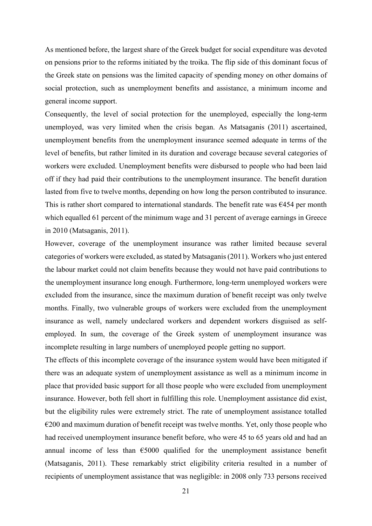As mentioned before, the largest share of the Greek budget for social expenditure was devoted on pensions prior to the reforms initiated by the troika. The flip side of this dominant focus of the Greek state on pensions was the limited capacity of spending money on other domains of social protection, such as unemployment benefits and assistance, a minimum income and general income support.

Consequently, the level of social protection for the unemployed, especially the long-term unemployed, was very limited when the crisis began. As Matsaganis (2011) ascertained, unemployment benefits from the unemployment insurance seemed adequate in terms of the level of benefits, but rather limited in its duration and coverage because several categories of workers were excluded. Unemployment benefits were disbursed to people who had been laid off if they had paid their contributions to the unemployment insurance. The benefit duration lasted from five to twelve months, depending on how long the person contributed to insurance. This is rather short compared to international standards. The benefit rate was  $6454$  per month which equalled 61 percent of the minimum wage and 31 percent of average earnings in Greece in 2010 (Matsaganis, 2011).

However, coverage of the unemployment insurance was rather limited because several categories of workers were excluded, as stated by Matsaganis (2011). Workers who just entered the labour market could not claim benefits because they would not have paid contributions to the unemployment insurance long enough. Furthermore, long-term unemployed workers were excluded from the insurance, since the maximum duration of benefit receipt was only twelve months. Finally, two vulnerable groups of workers were excluded from the unemployment insurance as well, namely undeclared workers and dependent workers disguised as selfemployed. In sum, the coverage of the Greek system of unemployment insurance was incomplete resulting in large numbers of unemployed people getting no support.

The effects of this incomplete coverage of the insurance system would have been mitigated if there was an adequate system of unemployment assistance as well as a minimum income in place that provided basic support for all those people who were excluded from unemployment insurance. However, both fell short in fulfilling this role. Unemployment assistance did exist, but the eligibility rules were extremely strict. The rate of unemployment assistance totalled  $\epsilon$ 200 and maximum duration of benefit receipt was twelve months. Yet, only those people who had received unemployment insurance benefit before, who were 45 to 65 years old and had an annual income of less than  $\epsilon$ 5000 qualified for the unemployment assistance benefit (Matsaganis, 2011). These remarkably strict eligibility criteria resulted in a number of recipients of unemployment assistance that was negligible: in 2008 only 733 persons received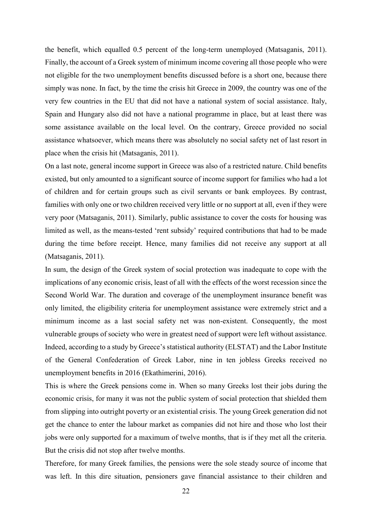the benefit, which equalled 0.5 percent of the long-term unemployed (Matsaganis, 2011). Finally, the account of a Greek system of minimum income covering all those people who were not eligible for the two unemployment benefits discussed before is a short one, because there simply was none. In fact, by the time the crisis hit Greece in 2009, the country was one of the very few countries in the EU that did not have a national system of social assistance. Italy, Spain and Hungary also did not have a national programme in place, but at least there was some assistance available on the local level. On the contrary, Greece provided no social assistance whatsoever, which means there was absolutely no social safety net of last resort in place when the crisis hit (Matsaganis, 2011).

On a last note, general income support in Greece was also of a restricted nature. Child benefits existed, but only amounted to a significant source of income support for families who had a lot of children and for certain groups such as civil servants or bank employees. By contrast, families with only one or two children received very little or no support at all, even if they were very poor (Matsaganis, 2011). Similarly, public assistance to cover the costs for housing was limited as well, as the means-tested 'rent subsidy' required contributions that had to be made during the time before receipt. Hence, many families did not receive any support at all (Matsaganis, 2011).

In sum, the design of the Greek system of social protection was inadequate to cope with the implications of any economic crisis, least of all with the effects of the worst recession since the Second World War. The duration and coverage of the unemployment insurance benefit was only limited, the eligibility criteria for unemployment assistance were extremely strict and a minimum income as a last social safety net was non-existent. Consequently, the most vulnerable groups of society who were in greatest need of support were left without assistance. Indeed, according to a study by Greece's statistical authority (ELSTAT) and the Labor Institute of the General Confederation of Greek Labor, nine in ten jobless Greeks received no unemployment benefits in 2016 (Ekathimerini, 2016).

This is where the Greek pensions come in. When so many Greeks lost their jobs during the economic crisis, for many it was not the public system of social protection that shielded them from slipping into outright poverty or an existential crisis. The young Greek generation did not get the chance to enter the labour market as companies did not hire and those who lost their jobs were only supported for a maximum of twelve months, that is if they met all the criteria. But the crisis did not stop after twelve months.

Therefore, for many Greek families, the pensions were the sole steady source of income that was left. In this dire situation, pensioners gave financial assistance to their children and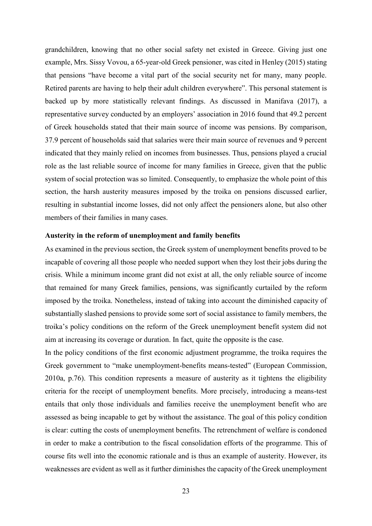grandchildren, knowing that no other social safety net existed in Greece. Giving just one example, Mrs. Sissy Vovou, a 65-year-old Greek pensioner, was cited in Henley (2015) stating that pensions "have become a vital part of the social security net for many, many people. Retired parents are having to help their adult children everywhere". This personal statement is backed up by more statistically relevant findings. As discussed in Manifava (2017), a representative survey conducted by an employers' association in 2016 found that 49.2 percent of Greek households stated that their main source of income was pensions. By comparison, 37.9 percent of households said that salaries were their main source of revenues and 9 percent indicated that they mainly relied on incomes from businesses. Thus, pensions played a crucial role as the last reliable source of income for many families in Greece, given that the public system of social protection was so limited. Consequently, to emphasize the whole point of this section, the harsh austerity measures imposed by the troika on pensions discussed earlier, resulting in substantial income losses, did not only affect the pensioners alone, but also other members of their families in many cases.

#### **Austerity in the reform of unemployment and family benefits**

As examined in the previous section, the Greek system of unemployment benefits proved to be incapable of covering all those people who needed support when they lost their jobs during the crisis. While a minimum income grant did not exist at all, the only reliable source of income that remained for many Greek families, pensions, was significantly curtailed by the reform imposed by the troika. Nonetheless, instead of taking into account the diminished capacity of substantially slashed pensions to provide some sort of social assistance to family members, the troika's policy conditions on the reform of the Greek unemployment benefit system did not aim at increasing its coverage or duration. In fact, quite the opposite is the case.

In the policy conditions of the first economic adjustment programme, the troika requires the Greek government to "make unemployment-benefits means-tested" (European Commission, 2010a, p.76). This condition represents a measure of austerity as it tightens the eligibility criteria for the receipt of unemployment benefits. More precisely, introducing a means-test entails that only those individuals and families receive the unemployment benefit who are assessed as being incapable to get by without the assistance. The goal of this policy condition is clear: cutting the costs of unemployment benefits. The retrenchment of welfare is condoned in order to make a contribution to the fiscal consolidation efforts of the programme. This of course fits well into the economic rationale and is thus an example of austerity. However, its weaknesses are evident as well as it further diminishes the capacity of the Greek unemployment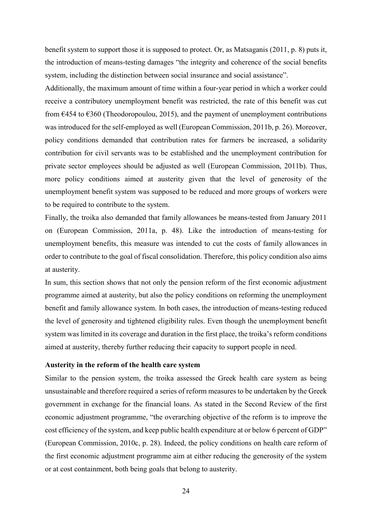benefit system to support those it is supposed to protect. Or, as Matsaganis (2011, p. 8) puts it, the introduction of means-testing damages "the integrity and coherence of the social benefits system, including the distinction between social insurance and social assistance".

Additionally, the maximum amount of time within a four-year period in which a worker could receive a contributory unemployment benefit was restricted, the rate of this benefit was cut from  $6454$  to  $6360$  (Theodoropoulou, 2015), and the payment of unemployment contributions was introduced for the self-employed as well (European Commission, 2011b, p. 26). Moreover, policy conditions demanded that contribution rates for farmers be increased, a solidarity contribution for civil servants was to be established and the unemployment contribution for private sector employees should be adjusted as well (European Commission, 2011b). Thus, more policy conditions aimed at austerity given that the level of generosity of the unemployment benefit system was supposed to be reduced and more groups of workers were to be required to contribute to the system.

Finally, the troika also demanded that family allowances be means-tested from January 2011 on (European Commission, 2011a, p. 48). Like the introduction of means-testing for unemployment benefits, this measure was intended to cut the costs of family allowances in order to contribute to the goal of fiscal consolidation. Therefore, this policy condition also aims at austerity.

In sum, this section shows that not only the pension reform of the first economic adjustment programme aimed at austerity, but also the policy conditions on reforming the unemployment benefit and family allowance system. In both cases, the introduction of means-testing reduced the level of generosity and tightened eligibility rules. Even though the unemployment benefit system was limited in its coverage and duration in the first place, the troika's reform conditions aimed at austerity, thereby further reducing their capacity to support people in need.

#### **Austerity in the reform of the health care system**

Similar to the pension system, the troika assessed the Greek health care system as being unsustainable and therefore required a series of reform measures to be undertaken by the Greek government in exchange for the financial loans. As stated in the Second Review of the first economic adjustment programme, "the overarching objective of the reform is to improve the cost efficiency of the system, and keep public health expenditure at or below 6 percent of GDP" (European Commission, 2010c, p. 28). Indeed, the policy conditions on health care reform of the first economic adjustment programme aim at either reducing the generosity of the system or at cost containment, both being goals that belong to austerity.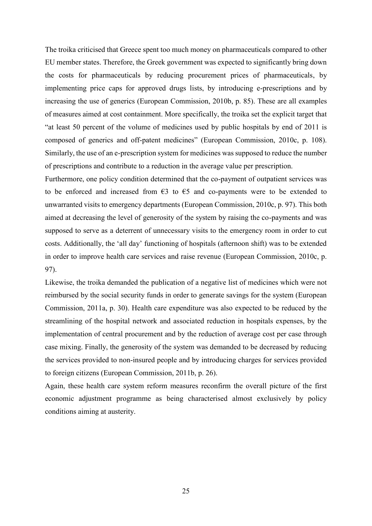The troika criticised that Greece spent too much money on pharmaceuticals compared to other EU member states. Therefore, the Greek government was expected to significantly bring down the costs for pharmaceuticals by reducing procurement prices of pharmaceuticals, by implementing price caps for approved drugs lists, by introducing e-prescriptions and by increasing the use of generics (European Commission, 2010b, p. 85). These are all examples of measures aimed at cost containment. More specifically, the troika set the explicit target that "at least 50 percent of the volume of medicines used by public hospitals by end of 2011 is composed of generics and off-patent medicines" (European Commission, 2010c, p. 108). Similarly, the use of an e-prescription system for medicines was supposed to reduce the number of prescriptions and contribute to a reduction in the average value per prescription.

Furthermore, one policy condition determined that the co-payment of outpatient services was to be enforced and increased from  $\epsilon$ 3 to  $\epsilon$ 5 and co-payments were to be extended to unwarranted visits to emergency departments (European Commission, 2010c, p. 97). This both aimed at decreasing the level of generosity of the system by raising the co-payments and was supposed to serve as a deterrent of unnecessary visits to the emergency room in order to cut costs. Additionally, the 'all day' functioning of hospitals (afternoon shift) was to be extended in order to improve health care services and raise revenue (European Commission, 2010c, p. 97).

Likewise, the troika demanded the publication of a negative list of medicines which were not reimbursed by the social security funds in order to generate savings for the system (European Commission, 2011a, p. 30). Health care expenditure was also expected to be reduced by the streamlining of the hospital network and associated reduction in hospitals expenses, by the implementation of central procurement and by the reduction of average cost per case through case mixing. Finally, the generosity of the system was demanded to be decreased by reducing the services provided to non-insured people and by introducing charges for services provided to foreign citizens (European Commission, 2011b, p. 26).

Again, these health care system reform measures reconfirm the overall picture of the first economic adjustment programme as being characterised almost exclusively by policy conditions aiming at austerity.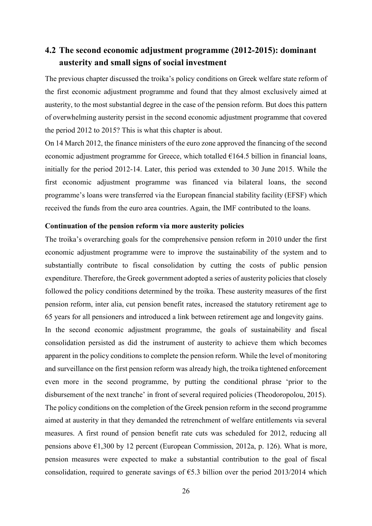### <span id="page-27-0"></span>**4.2 The second economic adjustment programme (2012-2015): dominant austerity and small signs of social investment**

The previous chapter discussed the troika's policy conditions on Greek welfare state reform of the first economic adjustment programme and found that they almost exclusively aimed at austerity, to the most substantial degree in the case of the pension reform. But does this pattern of overwhelming austerity persist in the second economic adjustment programme that covered the period 2012 to 2015? This is what this chapter is about.

On 14 March 2012, the finance ministers of the euro zone approved the financing of the second economic adjustment programme for Greece, which totalled  $E164.5$  billion in financial loans, initially for the period 2012-14. Later, this period was extended to 30 June 2015. While the first economic adjustment programme was financed via bilateral loans, the second programme's loans were transferred via the European financial stability facility (EFSF) which received the funds from the euro area countries. Again, the IMF contributed to the loans.

#### **Continuation of the pension reform via more austerity policies**

The troika's overarching goals for the comprehensive pension reform in 2010 under the first economic adjustment programme were to improve the sustainability of the system and to substantially contribute to fiscal consolidation by cutting the costs of public pension expenditure. Therefore, the Greek government adopted a series of austerity policies that closely followed the policy conditions determined by the troika. These austerity measures of the first pension reform, inter alia, cut pension benefit rates, increased the statutory retirement age to 65 years for all pensioners and introduced a link between retirement age and longevity gains.

In the second economic adjustment programme, the goals of sustainability and fiscal consolidation persisted as did the instrument of austerity to achieve them which becomes apparent in the policy conditions to complete the pension reform. While the level of monitoring and surveillance on the first pension reform was already high, the troika tightened enforcement even more in the second programme, by putting the conditional phrase 'prior to the disbursement of the next tranche' in front of several required policies (Theodoropolou, 2015). The policy conditions on the completion of the Greek pension reform in the second programme aimed at austerity in that they demanded the retrenchment of welfare entitlements via several measures. A first round of pension benefit rate cuts was scheduled for 2012, reducing all pensions above  $\epsilon$ 1,300 by 12 percent (European Commission, 2012a, p. 126). What is more, pension measures were expected to make a substantial contribution to the goal of fiscal consolidation, required to generate savings of  $\epsilon$ 5.3 billion over the period 2013/2014 which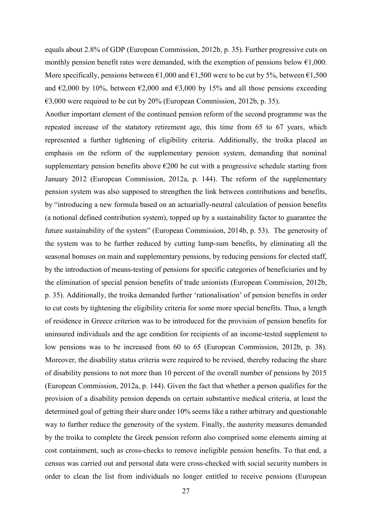equals about 2.8% of GDP (European Commission, 2012b, p. 35). Further progressive cuts on monthly pension benefit rates were demanded, with the exemption of pensions below  $\epsilon$ 1,000. More specifically, pensions between  $\epsilon$ 1,000 and  $\epsilon$ 1,500 were to be cut by 5%, between  $\epsilon$ 1,500 and  $\epsilon$ 2,000 by 10%, between  $\epsilon$ 2,000 and  $\epsilon$ 3,000 by 15% and all those pensions exceeding  $\epsilon$ 3,000 were required to be cut by 20% (European Commission, 2012b, p. 35).

Another important element of the continued pension reform of the second programme was the repeated increase of the statutory retirement age, this time from 65 to 67 years, which represented a further tightening of eligibility criteria. Additionally, the troika placed an emphasis on the reform of the supplementary pension system, demanding that nominal supplementary pension benefits above  $\epsilon$ 200 be cut with a progressive schedule starting from January 2012 (European Commission, 2012a, p. 144). The reform of the supplementary pension system was also supposed to strengthen the link between contributions and benefits, by "introducing a new formula based on an actuarially-neutral calculation of pension benefits (a notional defined contribution system), topped up by a sustainability factor to guarantee the future sustainability of the system" (European Commission, 2014b, p. 53). The generosity of the system was to be further reduced by cutting lump-sum benefits, by eliminating all the seasonal bonuses on main and supplementary pensions, by reducing pensions for elected staff, by the introduction of means-testing of pensions for specific categories of beneficiaries and by the elimination of special pension benefits of trade unionists (European Commission, 2012b, p. 35). Additionally, the troika demanded further 'rationalisation' of pension benefits in order to cut costs by tightening the eligibility criteria for some more special benefits. Thus, a length of residence in Greece criterion was to be introduced for the provision of pension benefits for uninsured individuals and the age condition for recipients of an income-tested supplement to low pensions was to be increased from 60 to 65 (European Commission, 2012b, p. 38). Moreover, the disability status criteria were required to be revised, thereby reducing the share of disability pensions to not more than 10 percent of the overall number of pensions by 2015 (European Commission, 2012a, p. 144). Given the fact that whether a person qualifies for the provision of a disability pension depends on certain substantive medical criteria, at least the determined goal of getting their share under 10% seems like a rather arbitrary and questionable way to further reduce the generosity of the system. Finally, the austerity measures demanded by the troika to complete the Greek pension reform also comprised some elements aiming at cost containment, such as cross-checks to remove ineligible pension benefits. To that end, a census was carried out and personal data were cross-checked with social security numbers in order to clean the list from individuals no longer entitled to receive pensions (European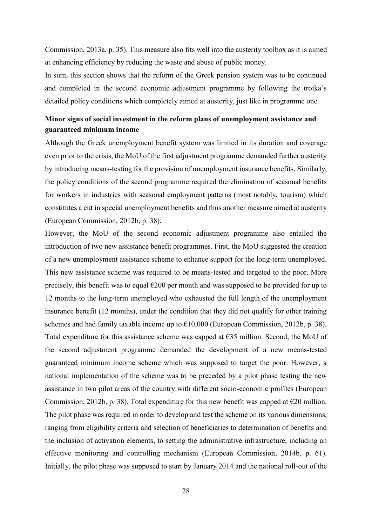Commission, 2013a, p. 35). This measure also fits well into the austerity toolbox as it is aimed at enhancing efficiency by reducing the waste and abuse of public money.

In sum, this section shows that the reform of the Greek pension system was to be continued and completed in the second economic adjustment programme by following the troika's detailed policy conditions which completely aimed at austerity, just like in programme one.

### **Minor signs of social investment in the reform plans of unemployment assistance and guaranteed minimum income**

Although the Greek unemployment benefit system was limited in its duration and coverage even prior to the crisis, the MoU of the first adjustment programme demanded further austerity by introducing means-testing for the provision of unemployment insurance benefits. Similarly, the policy conditions of the second programme required the elimination of seasonal benefits for workers in industries with seasonal employment patterns (most notably, tourism) which constitutes a cut in special unemployment benefits and thus another measure aimed at austerity (European Commission, 2012b, p. 38).

However, the MoU of the second economic adjustment programme also entailed the introduction of two new assistance benefit programmes. First, the MoU suggested the creation of a new unemployment assistance scheme to enhance support for the long-term unemployed. This new assistance scheme was required to be means-tested and targeted to the poor. More precisely, this benefit was to equal  $\epsilon$ 200 per month and was supposed to be provided for up to 12 months to the long-term unemployed who exhausted the full length of the unemployment insurance benefit (12 months), under the condition that they did not qualify for other training schemes and had family taxable income up to  $\epsilon$ 10,000 (European Commission, 2012b, p. 38). Total expenditure for this assistance scheme was capped at  $E35$  million. Second, the MoU of the second adjustment programme demanded the development of a new means-tested guaranteed minimum income scheme which was supposed to target the poor. However, a national implementation of the scheme was to be preceded by a pilot phase testing the new assistance in two pilot areas of the country with different socio-economic profiles (European Commission, 2012b, p. 38). Total expenditure for this new benefit was capped at  $\epsilon$ 20 million. The pilot phase was required in order to develop and test the scheme on its various dimensions, ranging from eligibility criteria and selection of beneficiaries to determination of benefits and the inclusion of activation elements, to setting the administrative infrastructure, including an effective monitoring and controlling mechanism (European Commission, 2014b, p. 61). Initially, the pilot phase was supposed to start by January 2014 and the national roll-out of the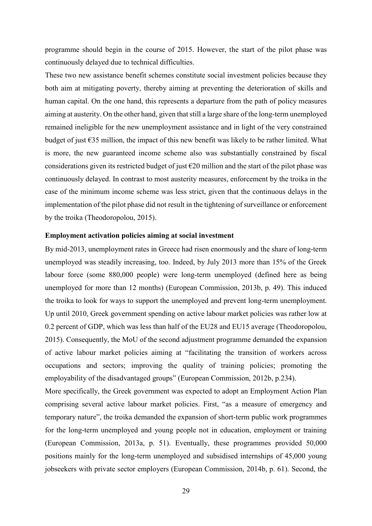programme should begin in the course of 2015. However, the start of the pilot phase was continuously delayed due to technical difficulties.

These two new assistance benefit schemes constitute social investment policies because they both aim at mitigating poverty, thereby aiming at preventing the deterioration of skills and human capital. On the one hand, this represents a departure from the path of policy measures aiming at austerity. On the other hand, given that still a large share of the long-term unemployed remained ineligible for the new unemployment assistance and in light of the very constrained budget of just €35 million, the impact of this new benefit was likely to be rather limited. What is more, the new guaranteed income scheme also was substantially constrained by fiscal considerations given its restricted budget of just  $\epsilon$ 20 million and the start of the pilot phase was continuously delayed. In contrast to most austerity measures, enforcement by the troika in the case of the minimum income scheme was less strict, given that the continuous delays in the implementation of the pilot phase did not result in the tightening of surveillance or enforcement by the troika (Theodoropolou, 2015).

#### **Employment activation policies aiming at social investment**

By mid-2013, unemployment rates in Greece had risen enormously and the share of long-term unemployed was steadily increasing, too. Indeed, by July 2013 more than 15% of the Greek labour force (some 880,000 people) were long-term unemployed (defined here as being unemployed for more than 12 months) (European Commission, 2013b, p. 49). This induced the troika to look for ways to support the unemployed and prevent long-term unemployment. Up until 2010, Greek government spending on active labour market policies was rather low at 0.2 percent of GDP, which was less than half of the EU28 and EU15 average (Theodoropolou, 2015). Consequently, the MoU of the second adjustment programme demanded the expansion of active labour market policies aiming at "facilitating the transition of workers across occupations and sectors; improving the quality of training policies; promoting the employability of the disadvantaged groups" (European Commission, 2012b, p.234).

More specifically, the Greek government was expected to adopt an Employment Action Plan comprising several active labour market policies. First, "as a measure of emergency and temporary nature", the troika demanded the expansion of short-term public work programmes for the long-term unemployed and young people not in education, employment or training (European Commission, 2013a, p. 51). Eventually, these programmes provided 50,000 positions mainly for the long-term unemployed and subsidised internships of 45,000 young jobseekers with private sector employers (European Commission, 2014b, p. 61). Second, the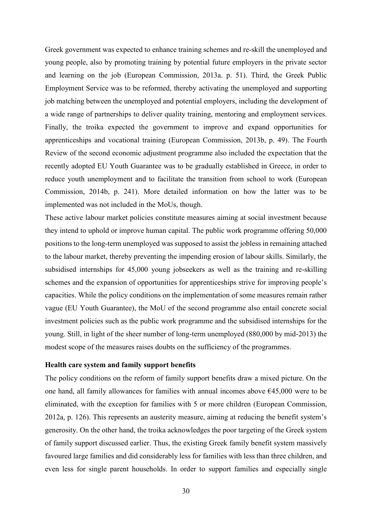Greek government was expected to enhance training schemes and re-skill the unemployed and young people, also by promoting training by potential future employers in the private sector and learning on the job (European Commission, 2013a. p. 51). Third, the Greek Public Employment Service was to be reformed, thereby activating the unemployed and supporting job matching between the unemployed and potential employers, including the development of a wide range of partnerships to deliver quality training, mentoring and employment services. Finally, the troika expected the government to improve and expand opportunities for apprenticeships and vocational training (European Commission, 2013b, p. 49). The Fourth Review of the second economic adjustment programme also included the expectation that the recently adopted EU Youth Guarantee was to be gradually established in Greece, in order to reduce youth unemployment and to facilitate the transition from school to work (European Commission, 2014b, p. 241). More detailed information on how the latter was to be implemented was not included in the MoUs, though.

These active labour market policies constitute measures aiming at social investment because they intend to uphold or improve human capital. The public work programme offering 50,000 positions to the long-term unemployed was supposed to assist the jobless in remaining attached to the labour market, thereby preventing the impending erosion of labour skills. Similarly, the subsidised internships for 45,000 young jobseekers as well as the training and re-skilling schemes and the expansion of opportunities for apprenticeships strive for improving people's capacities. While the policy conditions on the implementation of some measures remain rather vague (EU Youth Guarantee), the MoU of the second programme also entail concrete social investment policies such as the public work programme and the subsidised internships for the young. Still, in light of the sheer number of long-term unemployed (880,000 by mid-2013) the modest scope of the measures raises doubts on the sufficiency of the programmes.

#### **Health care system and family support benefits**

The policy conditions on the reform of family support benefits draw a mixed picture. On the one hand, all family allowances for families with annual incomes above  $645,000$  were to be eliminated, with the exception for families with 5 or more children (European Commission, 2012a, p. 126). This represents an austerity measure, aiming at reducing the benefit system's generosity. On the other hand, the troika acknowledges the poor targeting of the Greek system of family support discussed earlier. Thus, the existing Greek family benefit system massively favoured large families and did considerably less for families with less than three children, and even less for single parent households. In order to support families and especially single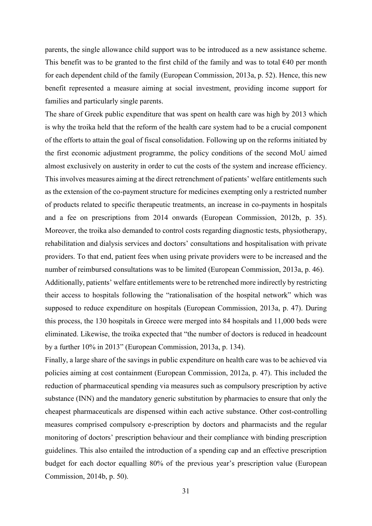parents, the single allowance child support was to be introduced as a new assistance scheme. This benefit was to be granted to the first child of the family and was to total  $640$  per month for each dependent child of the family (European Commission, 2013a, p. 52). Hence, this new benefit represented a measure aiming at social investment, providing income support for families and particularly single parents.

The share of Greek public expenditure that was spent on health care was high by 2013 which is why the troika held that the reform of the health care system had to be a crucial component of the efforts to attain the goal of fiscal consolidation. Following up on the reforms initiated by the first economic adjustment programme, the policy conditions of the second MoU aimed almost exclusively on austerity in order to cut the costs of the system and increase efficiency. This involves measures aiming at the direct retrenchment of patients' welfare entitlements such as the extension of the co-payment structure for medicines exempting only a restricted number of products related to specific therapeutic treatments, an increase in co-payments in hospitals and a fee on prescriptions from 2014 onwards (European Commission, 2012b, p. 35). Moreover, the troika also demanded to control costs regarding diagnostic tests, physiotherapy, rehabilitation and dialysis services and doctors' consultations and hospitalisation with private providers. To that end, patient fees when using private providers were to be increased and the number of reimbursed consultations was to be limited (European Commission, 2013a, p. 46).

Additionally, patients' welfare entitlements were to be retrenched more indirectly by restricting their access to hospitals following the "rationalisation of the hospital network" which was supposed to reduce expenditure on hospitals (European Commission, 2013a, p. 47). During this process, the 130 hospitals in Greece were merged into 84 hospitals and 11,000 beds were eliminated. Likewise, the troika expected that "the number of doctors is reduced in headcount by a further 10% in 2013" (European Commission, 2013a, p. 134).

Finally, a large share of the savings in public expenditure on health care was to be achieved via policies aiming at cost containment (European Commission, 2012a, p. 47). This included the reduction of pharmaceutical spending via measures such as compulsory prescription by active substance (INN) and the mandatory generic substitution by pharmacies to ensure that only the cheapest pharmaceuticals are dispensed within each active substance. Other cost-controlling measures comprised compulsory e-prescription by doctors and pharmacists and the regular monitoring of doctors' prescription behaviour and their compliance with binding prescription guidelines. This also entailed the introduction of a spending cap and an effective prescription budget for each doctor equalling 80% of the previous year's prescription value (European Commission, 2014b, p. 50).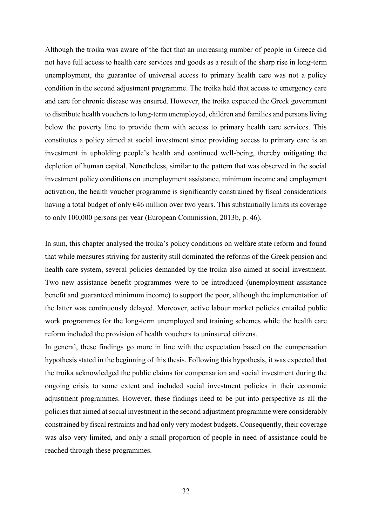Although the troika was aware of the fact that an increasing number of people in Greece did not have full access to health care services and goods as a result of the sharp rise in long-term unemployment, the guarantee of universal access to primary health care was not a policy condition in the second adjustment programme. The troika held that access to emergency care and care for chronic disease was ensured. However, the troika expected the Greek government to distribute health vouchers to long-term unemployed, children and families and persons living below the poverty line to provide them with access to primary health care services. This constitutes a policy aimed at social investment since providing access to primary care is an investment in upholding people's health and continued well-being, thereby mitigating the depletion of human capital. Nonetheless, similar to the pattern that was observed in the social investment policy conditions on unemployment assistance, minimum income and employment activation, the health voucher programme is significantly constrained by fiscal considerations having a total budget of only  $646$  million over two years. This substantially limits its coverage to only 100,000 persons per year (European Commission, 2013b, p. 46).

In sum, this chapter analysed the troika's policy conditions on welfare state reform and found that while measures striving for austerity still dominated the reforms of the Greek pension and health care system, several policies demanded by the troika also aimed at social investment. Two new assistance benefit programmes were to be introduced (unemployment assistance benefit and guaranteed minimum income) to support the poor, although the implementation of the latter was continuously delayed. Moreover, active labour market policies entailed public work programmes for the long-term unemployed and training schemes while the health care reform included the provision of health vouchers to uninsured citizens.

In general, these findings go more in line with the expectation based on the compensation hypothesis stated in the beginning of this thesis. Following this hypothesis, it was expected that the troika acknowledged the public claims for compensation and social investment during the ongoing crisis to some extent and included social investment policies in their economic adjustment programmes. However, these findings need to be put into perspective as all the policies that aimed at social investment in the second adjustment programme were considerably constrained by fiscal restraints and had only very modest budgets. Consequently, their coverage was also very limited, and only a small proportion of people in need of assistance could be reached through these programmes.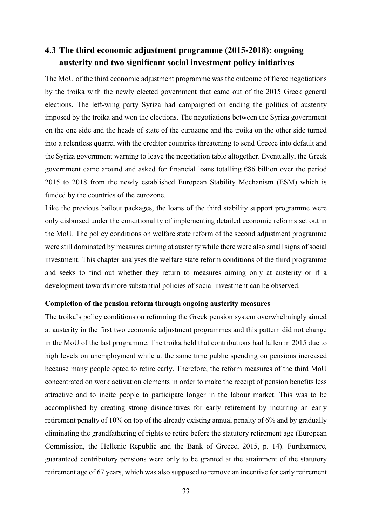### <span id="page-34-0"></span>**4.3 The third economic adjustment programme (2015-2018): ongoing austerity and two significant social investment policy initiatives**

The MoU of the third economic adjustment programme was the outcome of fierce negotiations by the troika with the newly elected government that came out of the 2015 Greek general elections. The left-wing party Syriza had campaigned on ending the politics of austerity imposed by the troika and won the elections. The negotiations between the Syriza government on the one side and the heads of state of the eurozone and the troika on the other side turned into a relentless quarrel with the creditor countries threatening to send Greece into default and the Syriza government warning to leave the negotiation table altogether. Eventually, the Greek government came around and asked for financial loans totalling €86 billion over the period 2015 to 2018 from the newly established European Stability Mechanism (ESM) which is funded by the countries of the eurozone.

Like the previous bailout packages, the loans of the third stability support programme were only disbursed under the conditionality of implementing detailed economic reforms set out in the MoU. The policy conditions on welfare state reform of the second adjustment programme were still dominated by measures aiming at austerity while there were also small signs of social investment. This chapter analyses the welfare state reform conditions of the third programme and seeks to find out whether they return to measures aiming only at austerity or if a development towards more substantial policies of social investment can be observed.

#### **Completion of the pension reform through ongoing austerity measures**

The troika's policy conditions on reforming the Greek pension system overwhelmingly aimed at austerity in the first two economic adjustment programmes and this pattern did not change in the MoU of the last programme. The troika held that contributions had fallen in 2015 due to high levels on unemployment while at the same time public spending on pensions increased because many people opted to retire early. Therefore, the reform measures of the third MoU concentrated on work activation elements in order to make the receipt of pension benefits less attractive and to incite people to participate longer in the labour market. This was to be accomplished by creating strong disincentives for early retirement by incurring an early retirement penalty of 10% on top of the already existing annual penalty of 6% and by gradually eliminating the grandfathering of rights to retire before the statutory retirement age (European Commission, the Hellenic Republic and the Bank of Greece, 2015, p. 14). Furthermore, guaranteed contributory pensions were only to be granted at the attainment of the statutory retirement age of 67 years, which was also supposed to remove an incentive for early retirement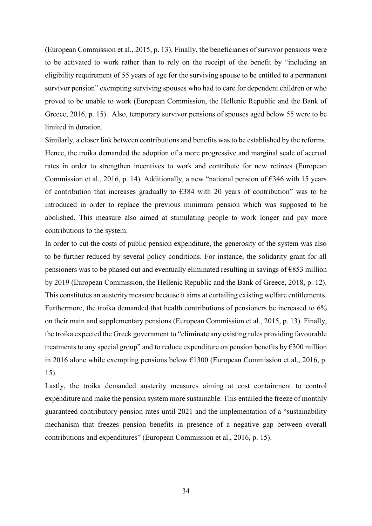(European Commission et al., 2015, p. 13). Finally, the beneficiaries of survivor pensions were to be activated to work rather than to rely on the receipt of the benefit by "including an eligibility requirement of 55 years of age for the surviving spouse to be entitled to a permanent survivor pension" exempting surviving spouses who had to care for dependent children or who proved to be unable to work (European Commission, the Hellenic Republic and the Bank of Greece, 2016, p. 15). Also, temporary survivor pensions of spouses aged below 55 were to be limited in duration.

Similarly, a closer link between contributions and benefits was to be established by the reforms. Hence, the troika demanded the adoption of a more progressive and marginal scale of accrual rates in order to strengthen incentives to work and contribute for new retirees (European Commission et al., 2016, p. 14). Additionally, a new "national pension of  $\epsilon$ 346 with 15 years of contribution that increases gradually to  $E$ 384 with 20 years of contribution" was to be introduced in order to replace the previous minimum pension which was supposed to be abolished. This measure also aimed at stimulating people to work longer and pay more contributions to the system.

In order to cut the costs of public pension expenditure, the generosity of the system was also to be further reduced by several policy conditions. For instance, the solidarity grant for all pensioners was to be phased out and eventually eliminated resulting in savings of €853 million by 2019 (European Commission, the Hellenic Republic and the Bank of Greece, 2018, p. 12). This constitutes an austerity measure because it aims at curtailing existing welfare entitlements. Furthermore, the troika demanded that health contributions of pensioners be increased to 6% on their main and supplementary pensions (European Commission et al., 2015, p. 13). Finally, the troika expected the Greek government to "eliminate any existing rules providing favourable treatments to any special group" and to reduce expenditure on pension benefits by  $\epsilon$ 300 million in 2016 alone while exempting pensions below  $E1300$  (European Commission et al., 2016, p. 15).

Lastly, the troika demanded austerity measures aiming at cost containment to control expenditure and make the pension system more sustainable. This entailed the freeze of monthly guaranteed contributory pension rates until 2021 and the implementation of a "sustainability mechanism that freezes pension benefits in presence of a negative gap between overall contributions and expenditures" (European Commission et al., 2016, p. 15).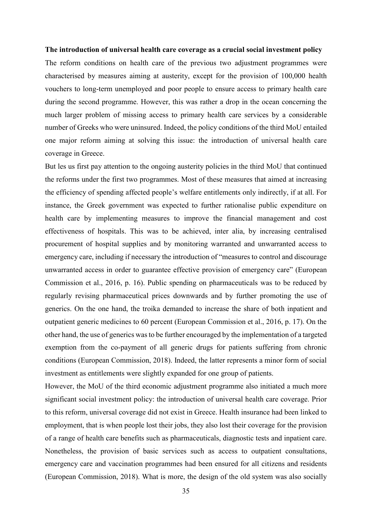#### **The introduction of universal health care coverage as a crucial social investment policy**

The reform conditions on health care of the previous two adjustment programmes were characterised by measures aiming at austerity, except for the provision of 100,000 health vouchers to long-term unemployed and poor people to ensure access to primary health care during the second programme. However, this was rather a drop in the ocean concerning the much larger problem of missing access to primary health care services by a considerable number of Greeks who were uninsured. Indeed, the policy conditions of the third MoU entailed one major reform aiming at solving this issue: the introduction of universal health care coverage in Greece.

But les us first pay attention to the ongoing austerity policies in the third MoU that continued the reforms under the first two programmes. Most of these measures that aimed at increasing the efficiency of spending affected people's welfare entitlements only indirectly, if at all. For instance, the Greek government was expected to further rationalise public expenditure on health care by implementing measures to improve the financial management and cost effectiveness of hospitals. This was to be achieved, inter alia, by increasing centralised procurement of hospital supplies and by monitoring warranted and unwarranted access to emergency care, including if necessary the introduction of "measures to control and discourage unwarranted access in order to guarantee effective provision of emergency care" (European Commission et al., 2016, p. 16). Public spending on pharmaceuticals was to be reduced by regularly revising pharmaceutical prices downwards and by further promoting the use of generics. On the one hand, the troika demanded to increase the share of both inpatient and outpatient generic medicines to 60 percent (European Commission et al., 2016, p. 17). On the other hand, the use of generics was to be further encouraged by the implementation of a targeted exemption from the co-payment of all generic drugs for patients suffering from chronic conditions (European Commission, 2018). Indeed, the latter represents a minor form of social investment as entitlements were slightly expanded for one group of patients.

However, the MoU of the third economic adjustment programme also initiated a much more significant social investment policy: the introduction of universal health care coverage. Prior to this reform, universal coverage did not exist in Greece. Health insurance had been linked to employment, that is when people lost their jobs, they also lost their coverage for the provision of a range of health care benefits such as pharmaceuticals, diagnostic tests and inpatient care. Nonetheless, the provision of basic services such as access to outpatient consultations, emergency care and vaccination programmes had been ensured for all citizens and residents (European Commission, 2018). What is more, the design of the old system was also socially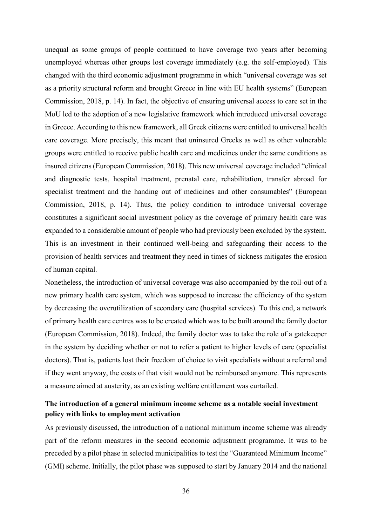unequal as some groups of people continued to have coverage two years after becoming unemployed whereas other groups lost coverage immediately (e.g. the self-employed). This changed with the third economic adjustment programme in which "universal coverage was set as a priority structural reform and brought Greece in line with EU health systems" (European Commission, 2018, p. 14). In fact, the objective of ensuring universal access to care set in the MoU led to the adoption of a new legislative framework which introduced universal coverage in Greece. According to this new framework, all Greek citizens were entitled to universal health care coverage. More precisely, this meant that uninsured Greeks as well as other vulnerable groups were entitled to receive public health care and medicines under the same conditions as insured citizens (European Commission, 2018). This new universal coverage included "clinical and diagnostic tests, hospital treatment, prenatal care, rehabilitation, transfer abroad for specialist treatment and the handing out of medicines and other consumables" (European Commission, 2018, p. 14). Thus, the policy condition to introduce universal coverage constitutes a significant social investment policy as the coverage of primary health care was expanded to a considerable amount of people who had previously been excluded by the system. This is an investment in their continued well-being and safeguarding their access to the provision of health services and treatment they need in times of sickness mitigates the erosion of human capital.

Nonetheless, the introduction of universal coverage was also accompanied by the roll-out of a new primary health care system, which was supposed to increase the efficiency of the system by decreasing the overutilization of secondary care (hospital services). To this end, a network of primary health care centres was to be created which was to be built around the family doctor (European Commission, 2018). Indeed, the family doctor was to take the role of a gatekeeper in the system by deciding whether or not to refer a patient to higher levels of care (specialist doctors). That is, patients lost their freedom of choice to visit specialists without a referral and if they went anyway, the costs of that visit would not be reimbursed anymore. This represents a measure aimed at austerity, as an existing welfare entitlement was curtailed.

### **The introduction of a general minimum income scheme as a notable social investment policy with links to employment activation**

As previously discussed, the introduction of a national minimum income scheme was already part of the reform measures in the second economic adjustment programme. It was to be preceded by a pilot phase in selected municipalities to test the "Guaranteed Minimum Income" (GMI) scheme. Initially, the pilot phase was supposed to start by January 2014 and the national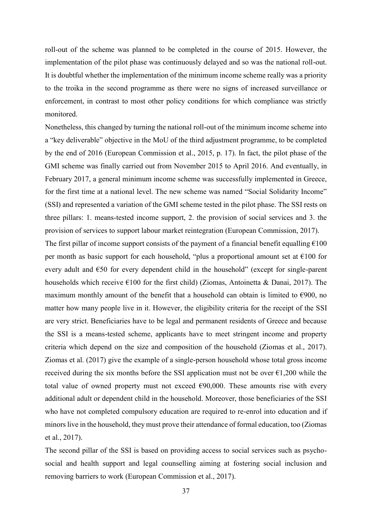roll-out of the scheme was planned to be completed in the course of 2015. However, the implementation of the pilot phase was continuously delayed and so was the national roll-out. It is doubtful whether the implementation of the minimum income scheme really was a priority to the troika in the second programme as there were no signs of increased surveillance or enforcement, in contrast to most other policy conditions for which compliance was strictly monitored.

Nonetheless, this changed by turning the national roll-out of the minimum income scheme into a "key deliverable" objective in the MoU of the third adjustment programme, to be completed by the end of 2016 (European Commission et al., 2015, p. 17). In fact, the pilot phase of the GMI scheme was finally carried out from November 2015 to April 2016. And eventually, in February 2017, a general minimum income scheme was successfully implemented in Greece, for the first time at a national level. The new scheme was named "Social Solidarity Income" (SSI) and represented a variation of the GMI scheme tested in the pilot phase. The SSI rests on three pillars: 1. means-tested income support, 2. the provision of social services and 3. the provision of services to support labour market reintegration (European Commission, 2017).

The first pillar of income support consists of the payment of a financial benefit equalling  $\epsilon$ 100 per month as basic support for each household, "plus a proportional amount set at  $\epsilon$ 100 for every adult and €50 for every dependent child in the household" (except for single-parent households which receive  $\epsilon$ 100 for the first child) (Ziomas, Antoinetta & Danai, 2017). The maximum monthly amount of the benefit that a household can obtain is limited to  $\epsilon$ 900, no matter how many people live in it. However, the eligibility criteria for the receipt of the SSI are very strict. Beneficiaries have to be legal and permanent residents of Greece and because the SSI is a means-tested scheme, applicants have to meet stringent income and property criteria which depend on the size and composition of the household (Ziomas et al., 2017). Ziomas et al. (2017) give the example of a single-person household whose total gross income received during the six months before the SSI application must not be over  $\epsilon$ 1,200 while the total value of owned property must not exceed  $\epsilon$ 90,000. These amounts rise with every additional adult or dependent child in the household. Moreover, those beneficiaries of the SSI who have not completed compulsory education are required to re-enrol into education and if minors live in the household, they must prove their attendance of formal education, too (Ziomas et al., 2017).

The second pillar of the SSI is based on providing access to social services such as psychosocial and health support and legal counselling aiming at fostering social inclusion and removing barriers to work (European Commission et al., 2017).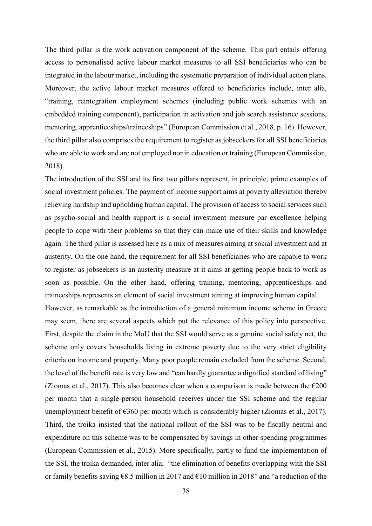The third pillar is the work activation component of the scheme. This part entails offering access to personalised active labour market measures to all SSI beneficiaries who can be integrated in the labour market, including the systematic preparation of individual action plans. Moreover, the active labour market measures offered to beneficiaries include, inter alia, "training, reintegration employment schemes (including public work schemes with an embedded training component), participation in activation and job search assistance sessions, mentoring, apprenticeships/traineeships" (European Commission et al., 2018, p. 16). However, the third pillar also comprises the requirement to register as jobseekers for all SSI beneficiaries who are able to work and are not employed nor in education or training (European Commission, 2018).

The introduction of the SSI and its first two pillars represent, in principle, prime examples of social investment policies. The payment of income support aims at poverty alleviation thereby relieving hardship and upholding human capital. The provision of access to social services such as psycho-social and health support is a social investment measure par excellence helping people to cope with their problems so that they can make use of their skills and knowledge again. The third pillar is assessed here as a mix of measures aiming at social investment and at austerity. On the one hand, the requirement for all SSI beneficiaries who are capable to work to register as jobseekers is an austerity measure at it aims at getting people back to work as soon as possible. On the other hand, offering training, mentoring, apprenticeships and traineeships represents an element of social investment aiming at improving human capital.

However, as remarkable as the introduction of a general minimum income scheme in Greece may seem, there are several aspects which put the relevance of this policy into perspective. First, despite the claim in the MoU that the SSI would serve as a genuine social safety net, the scheme only covers households living in extreme poverty due to the very strict eligibility criteria on income and property. Many poor people remain excluded from the scheme. Second, the level of the benefit rate is very low and "can hardly guarantee a dignified standard of living" (Ziomas et al., 2017). This also becomes clear when a comparison is made between the  $\epsilon$ 200 per month that a single-person household receives under the SSI scheme and the regular unemployment benefit of  $\epsilon$ 360 per month which is considerably higher (Ziomas et al., 2017). Third, the troika insisted that the national rollout of the SSI was to be fiscally neutral and expenditure on this scheme was to be compensated by savings in other spending programmes (European Commission et al., 2015). More specifically, partly to fund the implementation of the SSI, the troika demanded, inter alia, "the elimination of benefits overlapping with the SSI or family benefits saving €8.5 million in 2017 and €10 million in 2018" and "a reduction of the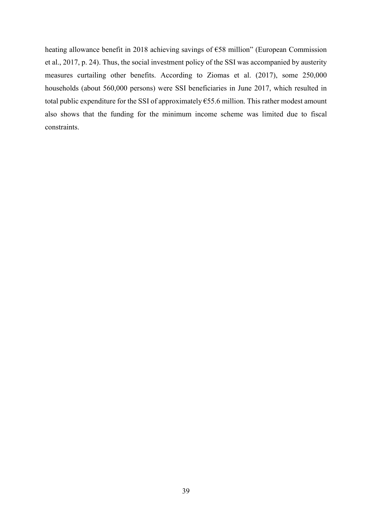heating allowance benefit in 2018 achieving savings of €58 million" (European Commission et al., 2017, p. 24). Thus, the social investment policy of the SSI was accompanied by austerity measures curtailing other benefits. According to Ziomas et al. (2017), some 250,000 households (about 560,000 persons) were SSI beneficiaries in June 2017, which resulted in total public expenditure for the SSI of approximately  $\epsilon$ 55.6 million. This rather modest amount also shows that the funding for the minimum income scheme was limited due to fiscal constraints.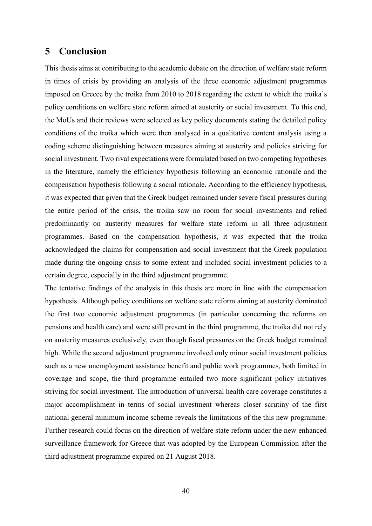### <span id="page-41-0"></span>**5 Conclusion**

This thesis aims at contributing to the academic debate on the direction of welfare state reform in times of crisis by providing an analysis of the three economic adjustment programmes imposed on Greece by the troika from 2010 to 2018 regarding the extent to which the troika's policy conditions on welfare state reform aimed at austerity or social investment. To this end, the MoUs and their reviews were selected as key policy documents stating the detailed policy conditions of the troika which were then analysed in a qualitative content analysis using a coding scheme distinguishing between measures aiming at austerity and policies striving for social investment. Two rival expectations were formulated based on two competing hypotheses in the literature, namely the efficiency hypothesis following an economic rationale and the compensation hypothesis following a social rationale. According to the efficiency hypothesis, it was expected that given that the Greek budget remained under severe fiscal pressures during the entire period of the crisis, the troika saw no room for social investments and relied predominantly on austerity measures for welfare state reform in all three adjustment programmes. Based on the compensation hypothesis, it was expected that the troika acknowledged the claims for compensation and social investment that the Greek population made during the ongoing crisis to some extent and included social investment policies to a certain degree, especially in the third adjustment programme.

The tentative findings of the analysis in this thesis are more in line with the compensation hypothesis. Although policy conditions on welfare state reform aiming at austerity dominated the first two economic adjustment programmes (in particular concerning the reforms on pensions and health care) and were still present in the third programme, the troika did not rely on austerity measures exclusively, even though fiscal pressures on the Greek budget remained high. While the second adjustment programme involved only minor social investment policies such as a new unemployment assistance benefit and public work programmes, both limited in coverage and scope, the third programme entailed two more significant policy initiatives striving for social investment. The introduction of universal health care coverage constitutes a major accomplishment in terms of social investment whereas closer scrutiny of the first national general minimum income scheme reveals the limitations of the this new programme. Further research could focus on the direction of welfare state reform under the new enhanced surveillance framework for Greece that was adopted by the European Commission after the third adjustment programme expired on 21 August 2018.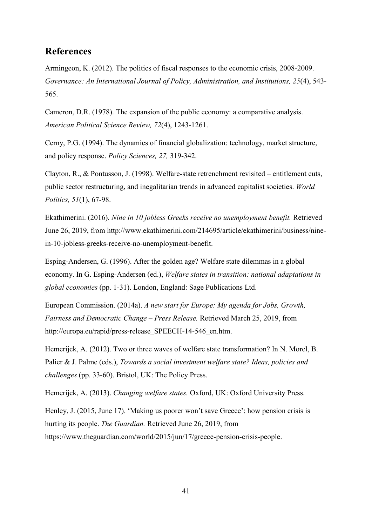### <span id="page-42-0"></span>**References**

Armingeon, K. (2012). The politics of fiscal responses to the economic crisis, 2008-2009. *Governance: An International Journal of Policy, Administration, and Institutions, 25*(4), 543- 565.

Cameron, D.R. (1978). The expansion of the public economy: a comparative analysis. *American Political Science Review, 72*(4), 1243-1261.

Cerny, P.G. (1994). The dynamics of financial globalization: technology, market structure, and policy response. *Policy Sciences, 27,* 319-342.

Clayton, R., & Pontusson, J. (1998). Welfare-state retrenchment revisited – entitlement cuts, public sector restructuring, and inegalitarian trends in advanced capitalist societies. *World Politics, 51*(1), 67-98.

Ekathimerini. (2016). *Nine in 10 jobless Greeks receive no unemployment benefit.* Retrieved June 26, 2019, from http://www.ekathimerini.com/214695/article/ekathimerini/business/ninein-10-jobless-greeks-receive-no-unemployment-benefit.

Esping-Andersen, G. (1996). After the golden age? Welfare state dilemmas in a global economy. In G. Esping-Andersen (ed.), *Welfare states in transition: national adaptations in global economies* (pp. 1-31). London, England: Sage Publications Ltd.

European Commission. (2014a). *A new start for Europe: My agenda for Jobs, Growth, Fairness and Democratic Change – Press Release.* Retrieved March 25, 2019, from http://europa.eu/rapid/press-release SPEECH-14-546 en.htm.

Hemerijck, A. (2012). Two or three waves of welfare state transformation? In N. Morel, B. Palier & J. Palme (eds.), *Towards a social investment welfare state? Ideas, policies and challenges* (pp. 33-60). Bristol, UK: The Policy Press.

Hemerijck, A. (2013). *Changing welfare states.* Oxford, UK: Oxford University Press.

Henley, J. (2015, June 17). 'Making us poorer won't save Greece': how pension crisis is hurting its people. *The Guardian.* Retrieved June 26, 2019, from https://www.theguardian.com/world/2015/jun/17/greece-pension-crisis-people.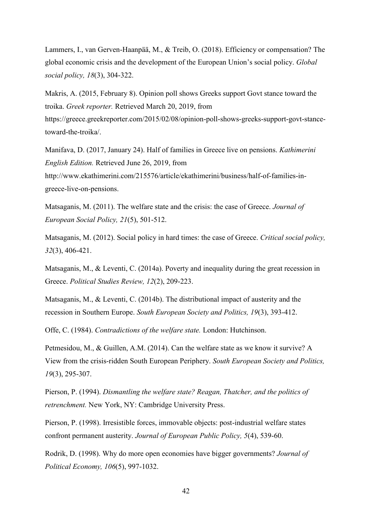Lammers, I., van Gerven-Haanpää, M., & Treib, O. (2018). Efficiency or compensation? The global economic crisis and the development of the European Union's social policy. *Global social policy, 18*(3), 304-322.

Makris, A. (2015, February 8). Opinion poll shows Greeks support Govt stance toward the troika. *Greek reporter.* Retrieved March 20, 2019, from https://greece.greekreporter.com/2015/02/08/opinion-poll-shows-greeks-support-govt-stancetoward-the-troika/.

Manifava, D. (2017, January 24). Half of families in Greece live on pensions. *Kathimerini English Edition.* Retrieved June 26, 2019, from http://www.ekathimerini.com/215576/article/ekathimerini/business/half-of-families-ingreece-live-on-pensions.

Matsaganis, M. (2011). The welfare state and the crisis: the case of Greece. *Journal of European Social Policy, 21*(5), 501-512.

Matsaganis, M. (2012). Social policy in hard times: the case of Greece. *Critical social policy, 32*(3), 406-421.

Matsaganis, M., & Leventi, C. (2014a). Poverty and inequality during the great recession in Greece. *Political Studies Review, 12*(2), 209-223.

Matsaganis, M., & Leventi, C. (2014b). The distributional impact of austerity and the recession in Southern Europe. *South European Society and Politics, 19*(3), 393-412.

Offe, C. (1984). *Contradictions of the welfare state.* London: Hutchinson.

Petmesidou, M., & Guillen, A.M. (2014). Can the welfare state as we know it survive? A View from the crisis-ridden South European Periphery. *South European Society and Politics, 19*(3), 295-307.

Pierson, P. (1994). *Dismantling the welfare state? Reagan, Thatcher, and the politics of retrenchment.* New York, NY: Cambridge University Press.

Pierson, P. (1998). Irresistible forces, immovable objects: post-industrial welfare states confront permanent austerity. *Journal of European Public Policy, 5*(4), 539-60.

Rodrik, D. (1998). Why do more open economies have bigger governments? *Journal of Political Economy, 106*(5), 997-1032.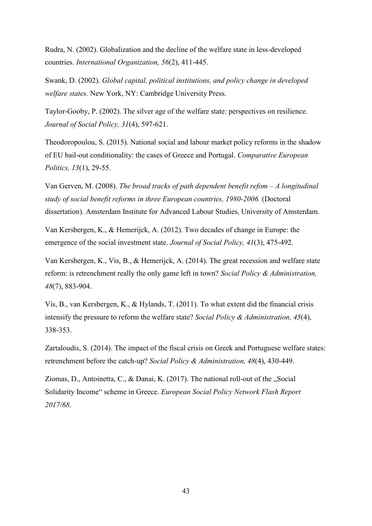Rudra, N. (2002). Globalization and the decline of the welfare state in less-developed countries. *International Organization, 56*(2), 411-445.

Swank, D. (2002). *Global capital, political institutions, and policy change in developed welfare states.* New York, NY: Cambridge University Press.

Taylor-Gooby, P. (2002). The silver age of the welfare state: perspectives on resilience. *Journal of Social Policy, 31*(4), 597-621.

Theodoropoulou, S. (2015). National social and labour market policy reforms in the shadow of EU bail-out conditionality: the cases of Greece and Portugal. *Comparative European Politics, 13*(1), 29-55.

Van Gerven, M. (2008). *The broad tracks of path dependent benefit refom – A longitudinal study of social benefit reforms in three European countries, 1980-2006.* (Doctoral dissertation). Amsterdam Institute for Advanced Labour Studies, University of Amsterdam.

Van Kersbergen, K., & Hemerijck, A. (2012). Two decades of change in Europe: the emergence of the social investment state. *Journal of Social Policy, 41*(3), 475-492.

Van Kersbergen, K., Vis, B., & Hemerijck, A. (2014). The great recession and welfare state reform: is retrenchment really the only game left in town? *Social Policy & Administration, 48*(7), 883-904.

Vis, B., van Kersbergen, K., & Hylands, T. (2011). To what extent did the financial crisis intensify the pressure to reform the welfare state? *Social Policy & Administration, 45*(4), 338-353.

Zartaloudis, S. (2014). The impact of the fiscal crisis on Greek and Portuguese welfare states: retrenchment before the catch-up? *Social Policy & Administration, 48*(4), 430-449.

Ziomas, D., Antoinetta, C., & Danai, K.  $(2017)$ . The national roll-out of the "Social Solidarity Income" scheme in Greece. *European Social Policy Network Flash Report 2017/68.*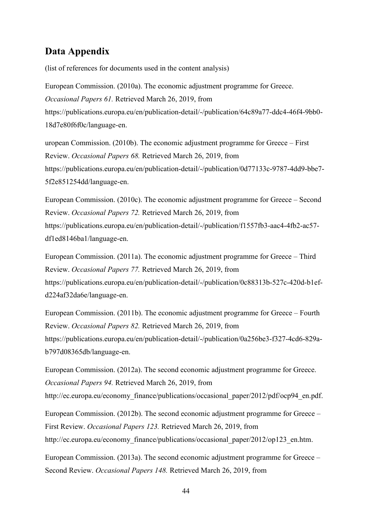### <span id="page-45-0"></span>**Data Appendix**

(list of references for documents used in the content analysis)

European Commission. (2010a). The economic adjustment programme for Greece. *Occasional Papers 61.* Retrieved March 26, 2019, from https://publications.europa.eu/en/publication-detail/-/publication/64c89a77-ddc4-46f4-9bb0- 18d7e80f6f0c/language-en.

uropean Commission. (2010b). The economic adjustment programme for Greece – First Review. *Occasional Papers 68.* Retrieved March 26, 2019, from https://publications.europa.eu/en/publication-detail/-/publication/0d77133c-9787-4dd9-bbe7- 5f2e851254dd/language-en.

European Commission. (2010c). The economic adjustment programme for Greece – Second Review. *Occasional Papers 72.* Retrieved March 26, 2019, from https://publications.europa.eu/en/publication-detail/-/publication/f1557fb3-aac4-4fb2-ac57 df1ed8146ba1/language-en.

European Commission. (2011a). The economic adjustment programme for Greece – Third Review. *Occasional Papers 77.* Retrieved March 26, 2019, from https://publications.europa.eu/en/publication-detail/-/publication/0c88313b-527c-420d-b1efd224af32da6e/language-en.

European Commission. (2011b). The economic adjustment programme for Greece – Fourth Review. *Occasional Papers 82.* Retrieved March 26, 2019, from https://publications.europa.eu/en/publication-detail/-/publication/0a256be3-f327-4cd6-829ab797d08365db/language-en.

European Commission. (2012a). The second economic adjustment programme for Greece. *Occasional Papers 94.* Retrieved March 26, 2019, from

http://ec.europa.eu/economy\_finance/publications/occasional\_paper/2012/pdf/ocp94\_en.pdf.

European Commission. (2012b). The second economic adjustment programme for Greece – First Review. *Occasional Papers 123.* Retrieved March 26, 2019, from http://ec.europa.eu/economy\_finance/publications/occasional\_paper/2012/op123\_en.htm.

European Commission. (2013a). The second economic adjustment programme for Greece – Second Review. *Occasional Papers 148.* Retrieved March 26, 2019, from